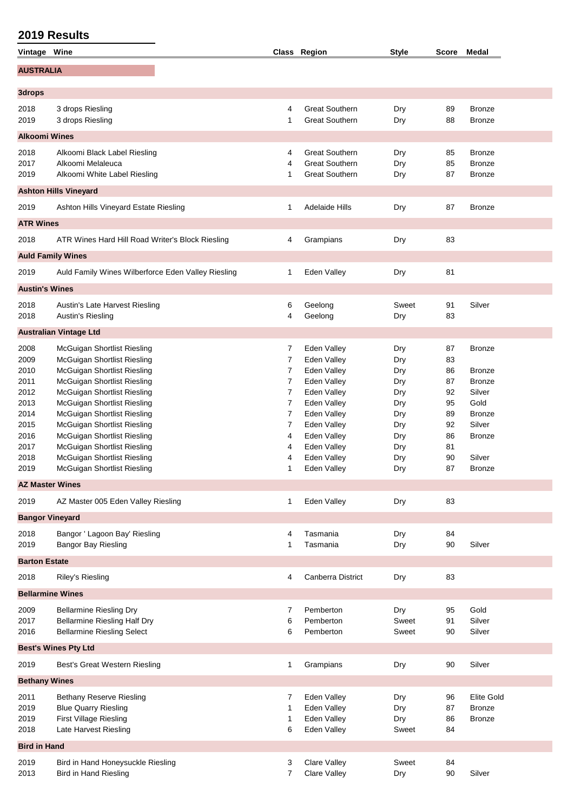| Vintage Wine            |                                                                   |                | Class Region                        | <b>Style</b> | Score    | Medal             |
|-------------------------|-------------------------------------------------------------------|----------------|-------------------------------------|--------------|----------|-------------------|
| <b>AUSTRALIA</b>        |                                                                   |                |                                     |              |          |                   |
| 3drops                  |                                                                   |                |                                     |              |          |                   |
| 2018                    | 3 drops Riesling                                                  | 4              | <b>Great Southern</b>               | Dry          | 89       | <b>Bronze</b>     |
| 2019                    | 3 drops Riesling                                                  | $\mathbf{1}$   | <b>Great Southern</b>               | Dry          | 88       | <b>Bronze</b>     |
| <b>Alkoomi Wines</b>    |                                                                   |                |                                     |              |          |                   |
| 2018                    | Alkoomi Black Label Riesling                                      | 4              | <b>Great Southern</b>               | Dry          | 85       | <b>Bronze</b>     |
| 2017                    | Alkoomi Melaleuca                                                 | 4              | <b>Great Southern</b>               | Dry          | 85       | <b>Bronze</b>     |
| 2019                    | Alkoomi White Label Riesling                                      | $\mathbf{1}$   | <b>Great Southern</b>               | Dry          | 87       | <b>Bronze</b>     |
|                         | <b>Ashton Hills Vineyard</b>                                      |                |                                     |              |          |                   |
| 2019                    | Ashton Hills Vineyard Estate Riesling                             | $\mathbf{1}$   | <b>Adelaide Hills</b>               | Dry          | 87       | <b>Bronze</b>     |
| <b>ATR Wines</b>        |                                                                   |                |                                     |              |          |                   |
| 2018                    | ATR Wines Hard Hill Road Writer's Block Riesling                  | 4              | Grampians                           | Dry          | 83       |                   |
|                         | <b>Auld Family Wines</b>                                          |                |                                     |              |          |                   |
| 2019                    | Auld Family Wines Wilberforce Eden Valley Riesling                | $\mathbf{1}$   | Eden Valley                         | Dry          | 81       |                   |
| <b>Austin's Wines</b>   |                                                                   |                |                                     |              |          |                   |
| 2018                    | Austin's Late Harvest Riesling                                    | 6              | Geelong                             | Sweet        | 91       | Silver            |
| 2018                    | Austin's Riesling                                                 | 4              | Geelong                             | Dry          | 83       |                   |
|                         | <b>Australian Vintage Ltd</b>                                     |                |                                     |              |          |                   |
| 2008                    | McGuigan Shortlist Riesling                                       | 7              | Eden Valley                         | Dry          | 87       | <b>Bronze</b>     |
| 2009                    | McGuigan Shortlist Riesling                                       | 7              | Eden Valley                         | Dry          | 83       |                   |
| 2010                    | McGuigan Shortlist Riesling                                       | 7              | Eden Valley                         | Dry          | 86       | <b>Bronze</b>     |
| 2011                    | McGuigan Shortlist Riesling                                       | 7              | Eden Valley                         | Dry          | 87       | <b>Bronze</b>     |
| 2012                    | McGuigan Shortlist Riesling                                       | 7              | Eden Valley                         | Dry          | 92       | Silver            |
| 2013                    | McGuigan Shortlist Riesling                                       | 7              | Eden Valley                         | Dry          | 95       | Gold              |
| 2014                    | McGuigan Shortlist Riesling                                       | 7              | Eden Valley                         | Dry          | 89       | <b>Bronze</b>     |
| 2015                    | <b>McGuigan Shortlist Riesling</b>                                | $\overline{7}$ | Eden Valley                         | Dry          | 92       | Silver            |
| 2016                    | McGuigan Shortlist Riesling                                       | 4              | Eden Valley                         | Dry          | 86       | <b>Bronze</b>     |
| 2017<br>2018            | McGuigan Shortlist Riesling                                       | 4              | Eden Valley<br>Eden Valley          | Dry          | 81       | Silver            |
| 2019                    | <b>McGuigan Shortlist Riesling</b>                                | 4<br>1         |                                     | Dry          | 90<br>87 | <b>Bronze</b>     |
|                         | McGuigan Shortlist Riesling                                       |                | Eden Valley                         | Dry          |          |                   |
| <b>AZ Master Wines</b>  |                                                                   |                |                                     |              |          |                   |
| 2019                    | AZ Master 005 Eden Valley Riesling                                | $\mathbf{1}$   | Eden Valley                         | Dry          | 83       |                   |
| <b>Bangor Vineyard</b>  |                                                                   |                |                                     |              |          |                   |
| 2018                    | Bangor ' Lagoon Bay' Riesling                                     | 4              | Tasmania                            | Dry          | 84       |                   |
| 2019                    | <b>Bangor Bay Riesling</b>                                        | 1              | Tasmania                            | Dry          | 90       | Silver            |
| <b>Barton Estate</b>    |                                                                   |                |                                     |              |          |                   |
| 2018                    | Riley's Riesling                                                  | 4              | <b>Canberra District</b>            | Dry          | 83       |                   |
| <b>Bellarmine Wines</b> |                                                                   |                |                                     |              |          |                   |
| 2009                    | <b>Bellarmine Riesling Dry</b>                                    | 7              | Pemberton                           | Dry          | 95       | Gold              |
| 2017                    | <b>Bellarmine Riesling Half Dry</b>                               | 6              | Pemberton                           | Sweet        | 91       | Silver            |
| 2016                    | <b>Bellarmine Riesling Select</b>                                 | 6              | Pemberton                           | Sweet        | 90       | Silver            |
|                         | <b>Best's Wines Pty Ltd</b>                                       |                |                                     |              |          |                   |
| 2019                    | Best's Great Western Riesling                                     | $\mathbf{1}$   | Grampians                           | Dry          | 90       | Silver            |
| <b>Bethany Wines</b>    |                                                                   |                |                                     |              |          |                   |
| 2011                    | <b>Bethany Reserve Riesling</b>                                   | 7              | <b>Eden Valley</b>                  | Dry          | 96       | <b>Elite Gold</b> |
| 2019                    | <b>Blue Quarry Riesling</b>                                       | 1              | <b>Eden Valley</b>                  | Dry          | 87       | <b>Bronze</b>     |
| 2019                    | <b>First Village Riesling</b>                                     | 1              | Eden Valley                         | Dry          | 86       | <b>Bronze</b>     |
| 2018                    | Late Harvest Riesling                                             | 6              | Eden Valley                         | Sweet        | 84       |                   |
| <b>Bird in Hand</b>     |                                                                   |                |                                     |              |          |                   |
|                         |                                                                   |                |                                     |              |          |                   |
| 2019<br>2013            | Bird in Hand Honeysuckle Riesling<br><b>Bird in Hand Riesling</b> | 3<br>7         | Clare Valley<br><b>Clare Valley</b> | Sweet        | 84<br>90 | Silver            |
|                         |                                                                   |                |                                     | Dry          |          |                   |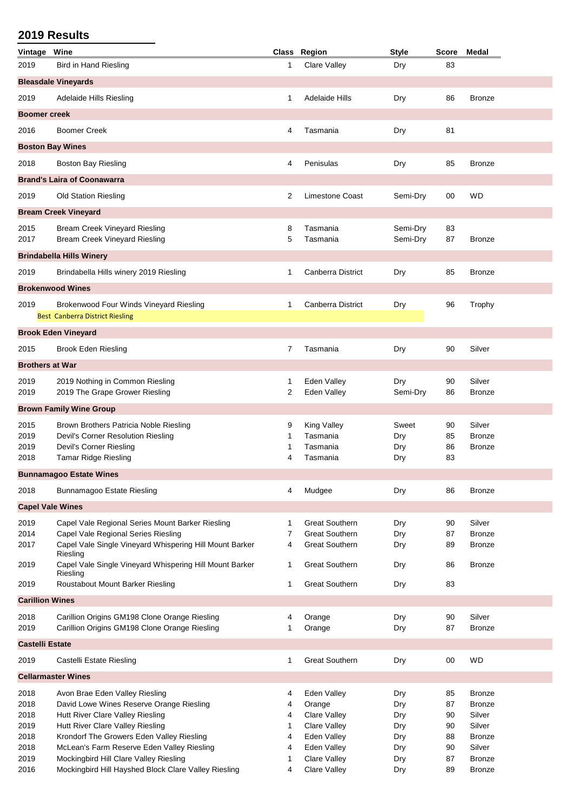| Vintage Wine            |                                                                                                |        | Class Region                                   | <b>Style</b> | <b>Score</b> | <b>Medal</b>                   |  |
|-------------------------|------------------------------------------------------------------------------------------------|--------|------------------------------------------------|--------------|--------------|--------------------------------|--|
| 2019                    | <b>Bird in Hand Riesling</b>                                                                   | 1      | Clare Valley                                   | Dry          | 83           |                                |  |
|                         | <b>Bleasdale Vineyards</b>                                                                     |        |                                                |              |              |                                |  |
| 2019                    | Adelaide Hills Riesling                                                                        | 1      | <b>Adelaide Hills</b>                          | Dry          | 86           | <b>Bronze</b>                  |  |
| <b>Boomer creek</b>     |                                                                                                |        |                                                |              |              |                                |  |
| 2016                    | <b>Boomer Creek</b>                                                                            | 4      | Tasmania                                       | Dry          | 81           |                                |  |
| <b>Boston Bay Wines</b> |                                                                                                |        |                                                |              |              |                                |  |
| 2018                    | <b>Boston Bay Riesling</b>                                                                     | 4      | Penisulas                                      | Dry          | 85           | <b>Bronze</b>                  |  |
|                         | Brand's Laira of Coonawarra                                                                    |        |                                                |              |              |                                |  |
| 2019                    | <b>Old Station Riesling</b>                                                                    | 2      | <b>Limestone Coast</b>                         | Semi-Dry     | 00           | WD                             |  |
|                         | <b>Bream Creek Vineyard</b>                                                                    |        |                                                |              |              |                                |  |
| 2015                    | <b>Bream Creek Vineyard Riesling</b>                                                           | 8      | Tasmania                                       | Semi-Dry     | 83           |                                |  |
| 2017                    | <b>Bream Creek Vineyard Riesling</b>                                                           | 5      | Tasmania                                       | Semi-Dry     | 87           | <b>Bronze</b>                  |  |
|                         | <b>Brindabella Hills Winery</b>                                                                |        |                                                |              |              |                                |  |
| 2019                    | Brindabella Hills winery 2019 Riesling                                                         | 1      | Canberra District                              | Dry          | 85           | <b>Bronze</b>                  |  |
|                         | <b>Brokenwood Wines</b>                                                                        |        |                                                |              |              |                                |  |
| 2019                    | Brokenwood Four Winds Vineyard Riesling                                                        | 1      | Canberra District                              | Dry          | 96           | Trophy                         |  |
|                         | <b>Best Canberra District Riesling</b>                                                         |        |                                                |              |              |                                |  |
|                         | <b>Brook Eden Vineyard</b>                                                                     |        |                                                |              |              |                                |  |
| 2015                    | <b>Brook Eden Riesling</b>                                                                     | 7      | Tasmania                                       | Dry          | 90           | Silver                         |  |
| <b>Brothers at War</b>  |                                                                                                |        |                                                |              |              |                                |  |
| 2019                    | 2019 Nothing in Common Riesling                                                                | 1      | Eden Valley                                    | Dry          | 90           | Silver                         |  |
| 2019                    | 2019 The Grape Grower Riesling                                                                 | 2      | Eden Valley                                    | Semi-Dry     | 86           | <b>Bronze</b>                  |  |
|                         | <b>Brown Family Wine Group</b>                                                                 |        |                                                |              |              |                                |  |
| 2015                    | Brown Brothers Patricia Noble Riesling                                                         | 9      | King Valley                                    | Sweet        | 90           | Silver                         |  |
| 2019                    | Devil's Corner Resolution Riesling                                                             | 1      | Tasmania                                       | Dry          | 85           | <b>Bronze</b>                  |  |
| 2019                    | Devil's Corner Riesling                                                                        | 1      | Tasmania                                       | Dry          | 86           | <b>Bronze</b>                  |  |
| 2018                    | <b>Tamar Ridge Riesling</b>                                                                    | 4      | Tasmania                                       | Dry          | 83           |                                |  |
|                         | <b>Bunnamagoo Estate Wines</b>                                                                 |        |                                                |              |              |                                |  |
| 2018                    | Bunnamagoo Estate Riesling                                                                     | 4      | Mudgee                                         | Dry          | 86           | <b>Bronze</b>                  |  |
| <b>Capel Vale Wines</b> |                                                                                                |        |                                                |              |              |                                |  |
| 2019                    | Capel Vale Regional Series Mount Barker Riesling                                               | 1      | <b>Great Southern</b>                          | Dry          | 90           | Silver                         |  |
| 2014<br>2017            | Capel Vale Regional Series Riesling<br>Capel Vale Single Vineyard Whispering Hill Mount Barker | 7<br>4 | <b>Great Southern</b><br><b>Great Southern</b> | Dry          | 87<br>89     | <b>Bronze</b><br><b>Bronze</b> |  |
|                         | Riesling                                                                                       |        |                                                | Dry          |              |                                |  |
| 2019                    | Capel Vale Single Vineyard Whispering Hill Mount Barker<br>Riesling                            | 1      | <b>Great Southern</b>                          | Dry          | 86           | <b>Bronze</b>                  |  |
| 2019                    | Roustabout Mount Barker Riesling                                                               | 1      | <b>Great Southern</b>                          | Dry          | 83           |                                |  |
| <b>Carillion Wines</b>  |                                                                                                |        |                                                |              |              |                                |  |
| 2018                    | Carillion Origins GM198 Clone Orange Riesling                                                  | 4      | Orange                                         | Dry          | 90           | Silver                         |  |
| 2019                    | Carillion Origins GM198 Clone Orange Riesling                                                  | 1      | Orange                                         | Dry          | 87           | <b>Bronze</b>                  |  |
| <b>Castelli Estate</b>  |                                                                                                |        |                                                |              |              |                                |  |
| 2019                    | Castelli Estate Riesling                                                                       | 1      | <b>Great Southern</b>                          | Dry          | 00           | <b>WD</b>                      |  |
|                         | <b>Cellarmaster Wines</b>                                                                      |        |                                                |              |              |                                |  |
| 2018                    | Avon Brae Eden Valley Riesling                                                                 | 4      | Eden Valley                                    | Dry          | 85           | <b>Bronze</b>                  |  |
| 2018                    | David Lowe Wines Reserve Orange Riesling                                                       | 4      | Orange                                         | Dry          | 87           | <b>Bronze</b>                  |  |
| 2018<br>2019            | Hutt River Clare Valley Riesling<br>Hutt River Clare Valley Riesling                           | 4      | Clare Valley<br><b>Clare Valley</b>            | Dry<br>Dry   | 90<br>90     | Silver<br>Silver               |  |
| 2018                    | Krondorf The Growers Eden Valley Riesling                                                      | 1<br>4 | Eden Valley                                    | Dry          | 88           | <b>Bronze</b>                  |  |
| 2018                    | McLean's Farm Reserve Eden Valley Riesling                                                     | 4      | Eden Valley                                    | Dry          | 90           | Silver                         |  |
| 2019                    | Mockingbird Hill Clare Valley Riesling                                                         | 1      | Clare Valley                                   | Dry          | 87           | <b>Bronze</b>                  |  |
| 2016                    | Mockingbird Hill Hayshed Block Clare Valley Riesling                                           | 4      | Clare Valley                                   | Dry          | 89           | <b>Bronze</b>                  |  |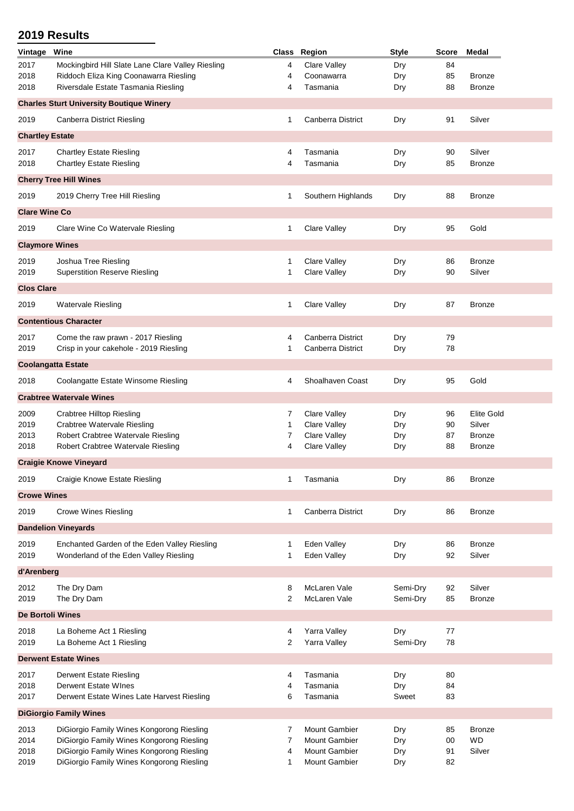| Vintage                 | Wine                                                                     |                   | Class Region                        | <b>Style</b> | Score    | Medal                   |
|-------------------------|--------------------------------------------------------------------------|-------------------|-------------------------------------|--------------|----------|-------------------------|
| 2017                    | Mockingbird Hill Slate Lane Clare Valley Riesling                        | 4                 | Clare Valley                        | Dry          | 84       |                         |
| 2018                    | Riddoch Eliza King Coonawarra Riesling                                   | 4                 | Coonawarra                          | Dry          | 85       | <b>Bronze</b>           |
| 2018                    | Riversdale Estate Tasmania Riesling                                      | 4                 | Tasmania                            | Dry          | 88       | <b>Bronze</b>           |
|                         | <b>Charles Sturt University Boutique Winery</b>                          |                   |                                     |              |          |                         |
| 2019                    | <b>Canberra District Riesling</b>                                        | 1                 | <b>Canberra District</b>            | Dry          | 91       | Silver                  |
| <b>Chartley Estate</b>  |                                                                          |                   |                                     |              |          |                         |
| 2017                    | <b>Chartley Estate Riesling</b>                                          | 4                 | Tasmania                            | Dry          | 90       | Silver                  |
| 2018                    | <b>Chartley Estate Riesling</b>                                          | 4                 | Tasmania                            | Dry          | 85       | <b>Bronze</b>           |
|                         | <b>Cherry Tree Hill Wines</b>                                            |                   |                                     |              |          |                         |
| 2019                    | 2019 Cherry Tree Hill Riesling                                           | 1                 | Southern Highlands                  | Dry          | 88       | <b>Bronze</b>           |
| <b>Clare Wine Co</b>    |                                                                          |                   |                                     |              |          |                         |
| 2019                    | Clare Wine Co Watervale Riesling                                         | 1                 | <b>Clare Valley</b>                 | Dry          | 95       | Gold                    |
|                         |                                                                          |                   |                                     |              |          |                         |
| <b>Claymore Wines</b>   |                                                                          |                   |                                     |              |          |                         |
| 2019                    | Joshua Tree Riesling                                                     | 1                 | Clare Valley                        | Dry          | 86       | <b>Bronze</b>           |
| 2019                    | <b>Superstition Reserve Riesling</b>                                     | 1                 | Clare Valley                        | Dry          | 90       | Silver                  |
| <b>Clos Clare</b>       |                                                                          |                   |                                     |              |          |                         |
| 2019                    | Watervale Riesling                                                       | 1                 | <b>Clare Valley</b>                 | Dry          | 87       | <b>Bronze</b>           |
|                         | <b>Contentious Character</b>                                             |                   |                                     |              |          |                         |
| 2017                    | Come the raw prawn - 2017 Riesling                                       | 4                 | <b>Canberra District</b>            | Dry          | 79       |                         |
| 2019                    | Crisp in your cakehole - 2019 Riesling                                   | 1                 | Canberra District                   | Dry          | 78       |                         |
|                         | <b>Coolangatta Estate</b>                                                |                   |                                     |              |          |                         |
| 2018                    | Coolangatte Estate Winsome Riesling                                      | 4                 | Shoalhaven Coast                    | Dry          | 95       | Gold                    |
|                         | <b>Crabtree Watervale Wines</b>                                          |                   |                                     |              |          |                         |
|                         |                                                                          |                   |                                     |              |          |                         |
| 2009                    | <b>Crabtree Hilltop Riesling</b>                                         | 7                 | Clare Valley                        | Dry          | 96       | <b>Elite Gold</b>       |
| 2019<br>2013            | <b>Crabtree Watervale Riesling</b><br>Robert Crabtree Watervale Riesling | $\mathbf{1}$<br>7 | Clare Valley<br><b>Clare Valley</b> | Dry<br>Dry   | 90<br>87 | Silver<br><b>Bronze</b> |
| 2018                    | Robert Crabtree Watervale Riesling                                       | 4                 | Clare Valley                        | Dry          | 88       | <b>Bronze</b>           |
|                         | <b>Craigie Knowe Vineyard</b>                                            |                   |                                     |              |          |                         |
|                         |                                                                          |                   |                                     |              |          |                         |
| 2019                    | Craigie Knowe Estate Riesling                                            |                   | Tasmania                            | Dry          | 86       | <b>Bronze</b>           |
| <b>Crowe Wines</b>      |                                                                          |                   |                                     |              |          |                         |
| 2019                    | <b>Crowe Wines Riesling</b>                                              | 1                 | Canberra District                   | Dry          | 86       | <b>Bronze</b>           |
|                         | <b>Dandelion Vineyards</b>                                               |                   |                                     |              |          |                         |
| 2019                    | Enchanted Garden of the Eden Valley Riesling                             | 1                 | Eden Valley                         | Dry          | 86       | <b>Bronze</b>           |
| 2019                    | Wonderland of the Eden Valley Riesling                                   | 1                 | Eden Valley                         | Dry          | 92       | Silver                  |
| d'Arenberg              |                                                                          |                   |                                     |              |          |                         |
| 2012                    | The Dry Dam                                                              | 8                 | McLaren Vale                        | Semi-Dry     | 92       | Silver                  |
| 2019                    | The Dry Dam                                                              | 2                 | McLaren Vale                        | Semi-Dry     | 85       | <b>Bronze</b>           |
| <b>De Bortoli Wines</b> |                                                                          |                   |                                     |              |          |                         |
| 2018                    | La Boheme Act 1 Riesling                                                 | 4                 | Yarra Valley                        | Dry          | 77       |                         |
| 2019                    | La Boheme Act 1 Riesling                                                 | 2                 | Yarra Valley                        | Semi-Dry     | 78       |                         |
|                         | <b>Derwent Estate Wines</b>                                              |                   |                                     |              |          |                         |
| 2017                    | Derwent Estate Riesling                                                  | 4                 | Tasmania                            | Dry          | 80       |                         |
| 2018                    | <b>Derwent Estate Wines</b>                                              | 4                 | Tasmania                            | Dry          | 84       |                         |
| 2017                    | Derwent Estate Wines Late Harvest Riesling                               | 6                 | Tasmania                            | Sweet        | 83       |                         |
|                         | <b>DiGiorgio Family Wines</b>                                            |                   |                                     |              |          |                         |
| 2013                    | DiGiorgio Family Wines Kongorong Riesling                                | 7                 | <b>Mount Gambier</b>                | Dry          | 85       | <b>Bronze</b>           |
| 2014                    | DiGiorgio Family Wines Kongorong Riesling                                | 7                 | <b>Mount Gambier</b>                | Dry          | 00       | <b>WD</b>               |
| 2018                    | DiGiorgio Family Wines Kongorong Riesling                                | 4                 | <b>Mount Gambier</b>                | Dry          | 91       | Silver                  |
| 2019                    | DiGiorgio Family Wines Kongorong Riesling                                | 1                 | Mount Gambier                       | Dry          | 82       |                         |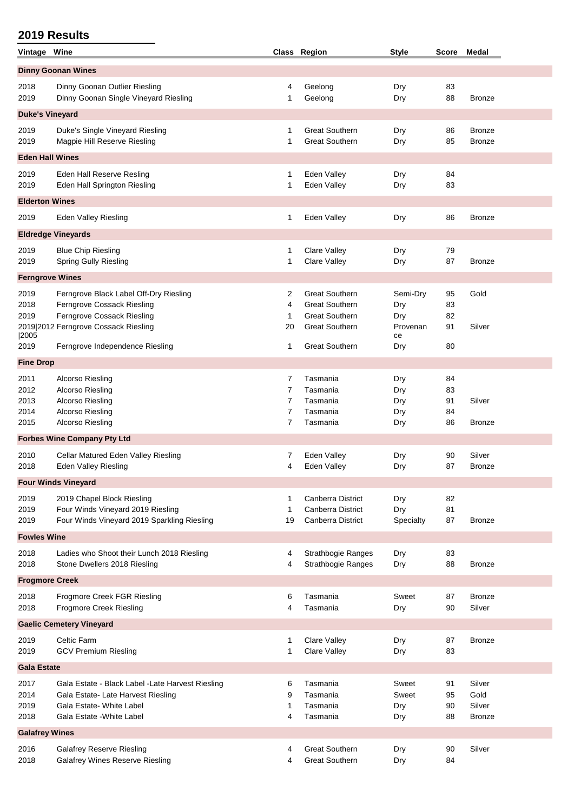| Vintage Wine                          |                                                                                                                                                                               |                                    | Class Region                                                                                                              | <b>Style</b>                                    | Score                      | Medal                                     |  |  |  |
|---------------------------------------|-------------------------------------------------------------------------------------------------------------------------------------------------------------------------------|------------------------------------|---------------------------------------------------------------------------------------------------------------------------|-------------------------------------------------|----------------------------|-------------------------------------------|--|--|--|
|                                       | <b>Dinny Goonan Wines</b>                                                                                                                                                     |                                    |                                                                                                                           |                                                 |                            |                                           |  |  |  |
| 2018<br>2019                          | Dinny Goonan Outlier Riesling<br>Dinny Goonan Single Vineyard Riesling                                                                                                        | 4<br>1                             | Geelong<br>Geelong                                                                                                        | Dry<br>Dry                                      | 83<br>88                   | <b>Bronze</b>                             |  |  |  |
| <b>Duke's Vineyard</b>                |                                                                                                                                                                               |                                    |                                                                                                                           |                                                 |                            |                                           |  |  |  |
| 2019<br>2019                          | Duke's Single Vineyard Riesling<br>Magpie Hill Reserve Riesling                                                                                                               | 1<br>1                             | <b>Great Southern</b><br><b>Great Southern</b>                                                                            | Dry<br>Dry                                      | 86<br>85                   | <b>Bronze</b><br><b>Bronze</b>            |  |  |  |
| <b>Eden Hall Wines</b>                |                                                                                                                                                                               |                                    |                                                                                                                           |                                                 |                            |                                           |  |  |  |
| 2019<br>2019                          | Eden Hall Reserve Resling<br>Eden Hall Springton Riesling                                                                                                                     | 1<br>1                             | Eden Valley<br>Eden Valley                                                                                                | Dry<br>Dry                                      | 84<br>83                   |                                           |  |  |  |
| <b>Elderton Wines</b>                 |                                                                                                                                                                               |                                    |                                                                                                                           |                                                 |                            |                                           |  |  |  |
| 2019                                  | <b>Eden Valley Riesling</b>                                                                                                                                                   | 1                                  | Eden Valley                                                                                                               | Dry                                             | 86                         | <b>Bronze</b>                             |  |  |  |
|                                       | <b>Eldredge Vineyards</b>                                                                                                                                                     |                                    |                                                                                                                           |                                                 |                            |                                           |  |  |  |
| 2019<br>2019                          | <b>Blue Chip Riesling</b><br><b>Spring Gully Riesling</b>                                                                                                                     | 1<br>1                             | Clare Valley<br>Clare Valley                                                                                              | Dry<br>Dry                                      | 79<br>87                   | <b>Bronze</b>                             |  |  |  |
| <b>Ferngrove Wines</b>                |                                                                                                                                                                               |                                    |                                                                                                                           |                                                 |                            |                                           |  |  |  |
| 2019<br>2018<br>2019<br> 2005<br>2019 | Ferngrove Black Label Off-Dry Riesling<br>Ferngrove Cossack Riesling<br>Ferngrove Cossack Riesling<br>2019 2012 Ferngrove Cossack Riesling<br>Ferngrove Independence Riesling | 2<br>4<br>1<br>20<br>1             | <b>Great Southern</b><br><b>Great Southern</b><br><b>Great Southern</b><br><b>Great Southern</b><br><b>Great Southern</b> | Semi-Dry<br>Dry<br>Dry<br>Provenan<br>ce<br>Dry | 95<br>83<br>82<br>91<br>80 | Gold<br>Silver                            |  |  |  |
| <b>Fine Drop</b>                      |                                                                                                                                                                               |                                    |                                                                                                                           |                                                 |                            |                                           |  |  |  |
| 2011<br>2012<br>2013<br>2014<br>2015  | Alcorso Riesling<br><b>Alcorso Riesling</b><br><b>Alcorso Riesling</b><br>Alcorso Riesling<br><b>Alcorso Riesling</b>                                                         | 7<br>7<br>7<br>7<br>$\overline{7}$ | Tasmania<br>Tasmania<br>Tasmania<br>Tasmania<br>Tasmania                                                                  | Dry<br>Dry<br>Dry<br>Dry<br>Dry                 | 84<br>83<br>91<br>84<br>86 | Silver<br><b>Bronze</b>                   |  |  |  |
|                                       | <b>Forbes Wine Company Pty Ltd</b>                                                                                                                                            |                                    |                                                                                                                           |                                                 |                            |                                           |  |  |  |
| 2010<br>2018                          | Cellar Matured Eden Valley Riesling<br><b>Eden Valley Riesling</b>                                                                                                            | 7<br>4                             | Eden Valley<br>Eden Valley                                                                                                | Dry<br>Dry                                      | 90<br>87                   | Silver<br><b>Bronze</b>                   |  |  |  |
|                                       | <b>Four Winds Vineyard</b>                                                                                                                                                    |                                    |                                                                                                                           |                                                 |                            |                                           |  |  |  |
| 2019<br>2019<br>2019                  | 2019 Chapel Block Riesling<br>Four Winds Vineyard 2019 Riesling<br>Four Winds Vineyard 2019 Sparkling Riesling                                                                | $\mathbf{1}$<br>1<br>19            | Canberra District<br><b>Canberra District</b><br>Canberra District                                                        | Dry<br>Dry<br>Specialty                         | 82<br>81<br>87             | <b>Bronze</b>                             |  |  |  |
| <b>Fowles Wine</b>                    |                                                                                                                                                                               |                                    |                                                                                                                           |                                                 |                            |                                           |  |  |  |
| 2018<br>2018                          | Ladies who Shoot their Lunch 2018 Riesling<br>Stone Dwellers 2018 Riesling                                                                                                    | 4<br>4                             | Strathbogie Ranges<br>Strathbogie Ranges                                                                                  | Dry<br>Dry                                      | 83<br>88                   | <b>Bronze</b>                             |  |  |  |
| <b>Frogmore Creek</b>                 |                                                                                                                                                                               |                                    |                                                                                                                           |                                                 |                            |                                           |  |  |  |
| 2018<br>2018                          | Frogmore Creek FGR Riesling<br>Frogmore Creek Riesling                                                                                                                        | 6<br>4                             | Tasmania<br>Tasmania                                                                                                      | Sweet<br>Dry                                    | 87<br>90                   | <b>Bronze</b><br>Silver                   |  |  |  |
|                                       | <b>Gaelic Cemetery Vineyard</b>                                                                                                                                               |                                    |                                                                                                                           |                                                 |                            |                                           |  |  |  |
| 2019<br>2019                          | <b>Celtic Farm</b><br><b>GCV Premium Riesling</b>                                                                                                                             | 1<br>1                             | Clare Valley<br>Clare Valley                                                                                              | Dry<br>Dry                                      | 87<br>83                   | <b>Bronze</b>                             |  |  |  |
| <b>Gala Estate</b>                    |                                                                                                                                                                               |                                    |                                                                                                                           |                                                 |                            |                                           |  |  |  |
| 2017<br>2014<br>2019<br>2018          | Gala Estate - Black Label - Late Harvest Riesling<br>Gala Estate- Late Harvest Riesling<br>Gala Estate- White Label<br>Gala Estate - White Label                              | 6<br>9<br>1<br>4                   | Tasmania<br>Tasmania<br>Tasmania<br>Tasmania                                                                              | Sweet<br>Sweet<br>Dry<br>Dry                    | 91<br>95<br>90<br>88       | Silver<br>Gold<br>Silver<br><b>Bronze</b> |  |  |  |
| <b>Galafrey Wines</b>                 |                                                                                                                                                                               |                                    |                                                                                                                           |                                                 |                            |                                           |  |  |  |
| 2016<br>2018                          | <b>Galafrey Reserve Riesling</b><br><b>Galafrey Wines Reserve Riesling</b>                                                                                                    | 4<br>4                             | <b>Great Southern</b><br><b>Great Southern</b>                                                                            | Dry<br>Dry                                      | 90<br>84                   | Silver                                    |  |  |  |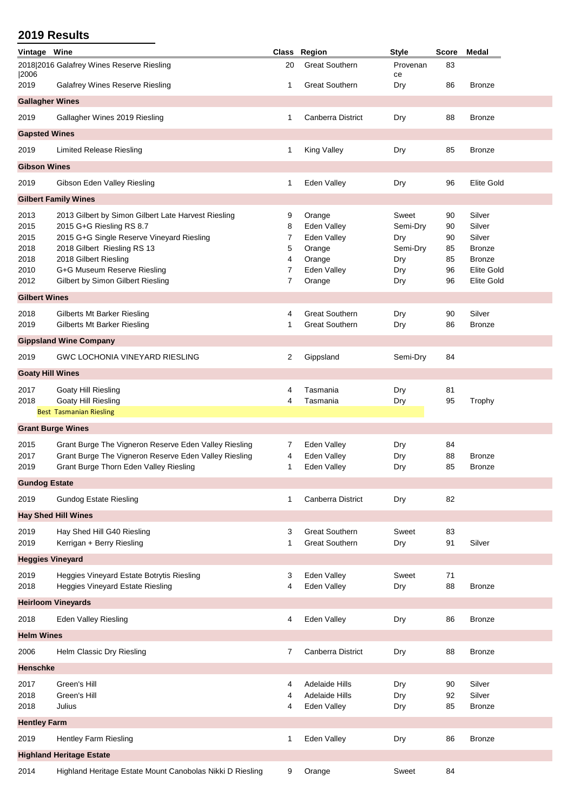| Vintage Wine                                         |                                                                                                                                                                                                                                                          |                                 | Class Region                                                                      | <b>Style</b>                                              | <b>Score</b>                           | Medal                                                                                                  |
|------------------------------------------------------|----------------------------------------------------------------------------------------------------------------------------------------------------------------------------------------------------------------------------------------------------------|---------------------------------|-----------------------------------------------------------------------------------|-----------------------------------------------------------|----------------------------------------|--------------------------------------------------------------------------------------------------------|
| 2006                                                 | 2018 2016 Galafrey Wines Reserve Riesling                                                                                                                                                                                                                | 20                              | <b>Great Southern</b>                                                             | Provenan<br>ce                                            | 83                                     |                                                                                                        |
| 2019                                                 | <b>Galafrey Wines Reserve Riesling</b>                                                                                                                                                                                                                   | 1                               | <b>Great Southern</b>                                                             | Dry                                                       | 86                                     | <b>Bronze</b>                                                                                          |
| <b>Gallagher Wines</b>                               |                                                                                                                                                                                                                                                          |                                 |                                                                                   |                                                           |                                        |                                                                                                        |
| 2019                                                 | Gallagher Wines 2019 Riesling                                                                                                                                                                                                                            | 1                               | <b>Canberra District</b>                                                          | Dry                                                       | 88                                     | <b>Bronze</b>                                                                                          |
| <b>Gapsted Wines</b>                                 |                                                                                                                                                                                                                                                          |                                 |                                                                                   |                                                           |                                        |                                                                                                        |
| 2019                                                 | <b>Limited Release Riesling</b>                                                                                                                                                                                                                          | 1                               | King Valley                                                                       | Dry                                                       | 85                                     | <b>Bronze</b>                                                                                          |
| <b>Gibson Wines</b>                                  |                                                                                                                                                                                                                                                          |                                 |                                                                                   |                                                           |                                        |                                                                                                        |
| 2019                                                 | Gibson Eden Valley Riesling                                                                                                                                                                                                                              | 1                               | Eden Valley                                                                       | Dry                                                       | 96                                     | <b>Elite Gold</b>                                                                                      |
|                                                      | <b>Gilbert Family Wines</b>                                                                                                                                                                                                                              |                                 |                                                                                   |                                                           |                                        |                                                                                                        |
| 2013<br>2015<br>2015<br>2018<br>2018<br>2010<br>2012 | 2013 Gilbert by Simon Gilbert Late Harvest Riesling<br>2015 G+G Riesling RS 8.7<br>2015 G+G Single Reserve Vineyard Riesling<br>2018 Gilbert Riesling RS 13<br>2018 Gilbert Riesling<br>G+G Museum Reserve Riesling<br>Gilbert by Simon Gilbert Riesling | 9<br>8<br>7<br>5<br>4<br>7<br>7 | Orange<br>Eden Valley<br>Eden Valley<br>Orange<br>Orange<br>Eden Valley<br>Orange | Sweet<br>Semi-Dry<br>Dry<br>Semi-Dry<br>Dry<br>Dry<br>Dry | 90<br>90<br>90<br>85<br>85<br>96<br>96 | Silver<br>Silver<br>Silver<br><b>Bronze</b><br><b>Bronze</b><br><b>Elite Gold</b><br><b>Elite Gold</b> |
|                                                      |                                                                                                                                                                                                                                                          |                                 |                                                                                   |                                                           |                                        |                                                                                                        |
| <b>Gilbert Wines</b><br>2018<br>2019                 | Gilberts Mt Barker Riesling<br><b>Gilberts Mt Barker Riesling</b><br><b>Gippsland Wine Company</b>                                                                                                                                                       | 4<br>1                          | <b>Great Southern</b><br><b>Great Southern</b>                                    | Dry<br>Dry                                                | 90<br>86                               | Silver<br><b>Bronze</b>                                                                                |
| 2019                                                 | <b>GWC LOCHONIA VINEYARD RIESLING</b>                                                                                                                                                                                                                    | 2                               | Gippsland                                                                         | Semi-Dry                                                  | 84                                     |                                                                                                        |
| <b>Goaty Hill Wines</b>                              |                                                                                                                                                                                                                                                          |                                 |                                                                                   |                                                           |                                        |                                                                                                        |
| 2017<br>2018                                         | Goaty Hill Riesling<br>Goaty Hill Riesling<br><b>Best Tasmanian Riesling</b>                                                                                                                                                                             | 4<br>4                          | Tasmania<br>Tasmania                                                              | Dry<br>Dry                                                | 81<br>95                               | Trophy                                                                                                 |
|                                                      | <b>Grant Burge Wines</b>                                                                                                                                                                                                                                 |                                 |                                                                                   |                                                           |                                        |                                                                                                        |
| 2015<br>2017<br>2019                                 | Grant Burge The Vigneron Reserve Eden Valley Riesling<br>Grant Burge The Vigneron Reserve Eden Valley Riesling<br>Grant Burge Thorn Eden Valley Riesling                                                                                                 | 7<br>4<br>1                     | Eden Valley<br>Eden Valley<br>Eden Valley                                         | Dry<br>Dry<br>Dry                                         | 84<br>88<br>85                         | <b>Bronze</b><br><b>Bronze</b>                                                                         |
| <b>Gundog Estate</b>                                 |                                                                                                                                                                                                                                                          |                                 |                                                                                   |                                                           |                                        |                                                                                                        |
| 2019                                                 | <b>Gundog Estate Riesling</b>                                                                                                                                                                                                                            | 1                               | Canberra District                                                                 | Dry                                                       | 82                                     |                                                                                                        |
|                                                      | <b>Hay Shed Hill Wines</b>                                                                                                                                                                                                                               |                                 |                                                                                   |                                                           |                                        |                                                                                                        |
| 2019<br>2019                                         | Hay Shed Hill G40 Riesling<br>Kerrigan + Berry Riesling                                                                                                                                                                                                  | 3<br>1                          | <b>Great Southern</b><br><b>Great Southern</b>                                    | Sweet<br>Dry                                              | 83<br>91                               | Silver                                                                                                 |
| <b>Heggies Vineyard</b>                              |                                                                                                                                                                                                                                                          |                                 |                                                                                   |                                                           |                                        |                                                                                                        |
| 2019<br>2018                                         | Heggies Vineyard Estate Botrytis Riesling<br>Heggies Vineyard Estate Riesling                                                                                                                                                                            | 3<br>4                          | Eden Valley<br>Eden Valley                                                        | Sweet<br>Dry                                              | 71<br>88                               | <b>Bronze</b>                                                                                          |
|                                                      | <b>Heirloom Vineyards</b>                                                                                                                                                                                                                                |                                 |                                                                                   |                                                           |                                        |                                                                                                        |
| 2018                                                 | Eden Valley Riesling                                                                                                                                                                                                                                     | 4                               | Eden Valley                                                                       | Dry                                                       | 86                                     | <b>Bronze</b>                                                                                          |
| <b>Helm Wines</b>                                    |                                                                                                                                                                                                                                                          |                                 |                                                                                   |                                                           |                                        |                                                                                                        |
| 2006                                                 | Helm Classic Dry Riesling                                                                                                                                                                                                                                | 7                               | <b>Canberra District</b>                                                          | Dry                                                       | 88                                     | <b>Bronze</b>                                                                                          |
| Henschke                                             |                                                                                                                                                                                                                                                          |                                 |                                                                                   |                                                           |                                        |                                                                                                        |
| 2017<br>2018<br>2018                                 | Green's Hill<br>Green's Hill<br>Julius                                                                                                                                                                                                                   | 4<br>4<br>4                     | <b>Adelaide Hills</b><br><b>Adelaide Hills</b><br>Eden Valley                     | Dry<br>Dry<br>Dry                                         | 90<br>92<br>85                         | Silver<br>Silver<br><b>Bronze</b>                                                                      |
| <b>Hentley Farm</b>                                  |                                                                                                                                                                                                                                                          |                                 |                                                                                   |                                                           |                                        |                                                                                                        |
| 2019                                                 | Hentley Farm Riesling                                                                                                                                                                                                                                    | 1                               | Eden Valley                                                                       | Dry                                                       | 86                                     | <b>Bronze</b>                                                                                          |
|                                                      | <b>Highland Heritage Estate</b>                                                                                                                                                                                                                          |                                 |                                                                                   |                                                           |                                        |                                                                                                        |
| 2014                                                 | Highland Heritage Estate Mount Canobolas Nikki D Riesling                                                                                                                                                                                                | 9                               | Orange                                                                            | Sweet                                                     | 84                                     |                                                                                                        |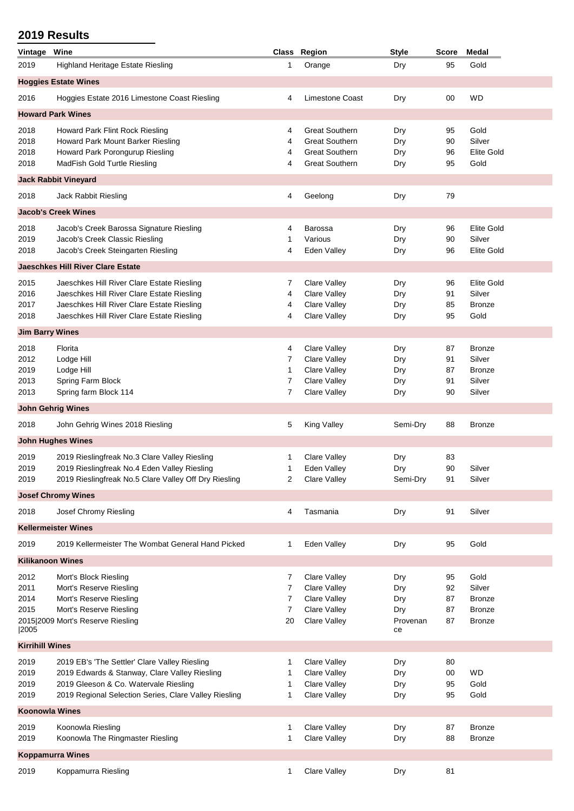| Vintage                 | Wine                                                  |                | Class Region           | <b>Style</b> | Score | Medal             |
|-------------------------|-------------------------------------------------------|----------------|------------------------|--------------|-------|-------------------|
| 2019                    | <b>Highland Heritage Estate Riesling</b>              | 1              | Orange                 | Dry          | 95    | Gold              |
|                         | <b>Hoggies Estate Wines</b>                           |                |                        |              |       |                   |
| 2016                    | Hoggies Estate 2016 Limestone Coast Riesling          | 4              | <b>Limestone Coast</b> | Dry          | 00    | <b>WD</b>         |
|                         | <b>Howard Park Wines</b>                              |                |                        |              |       |                   |
|                         |                                                       |                |                        |              |       |                   |
| 2018                    | Howard Park Flint Rock Riesling                       | 4              | <b>Great Southern</b>  | Dry          | 95    | Gold              |
| 2018                    | Howard Park Mount Barker Riesling                     | 4              | <b>Great Southern</b>  | Dry          | 90    | Silver            |
| 2018                    | Howard Park Porongurup Riesling                       | 4              | <b>Great Southern</b>  | Dry          | 96    | Elite Gold        |
| 2018                    | MadFish Gold Turtle Riesling                          | 4              | <b>Great Southern</b>  | Dry          | 95    | Gold              |
|                         | <b>Jack Rabbit Vineyard</b>                           |                |                        |              |       |                   |
| 2018                    | Jack Rabbit Riesling                                  | 4              | Geelong                | Dry          | 79    |                   |
|                         | <b>Jacob's Creek Wines</b>                            |                |                        |              |       |                   |
| 2018                    | Jacob's Creek Barossa Signature Riesling              | 4              | <b>Barossa</b>         | Dry          | 96    | <b>Elite Gold</b> |
| 2019                    | Jacob's Creek Classic Riesling                        | 1              | Various                | Dry          | 90    | Silver            |
|                         |                                                       | 4              |                        |              | 96    | Elite Gold        |
| 2018                    | Jacob's Creek Steingarten Riesling                    |                | Eden Valley            | Dry          |       |                   |
|                         | <b>Jaeschkes Hill River Clare Estate</b>              |                |                        |              |       |                   |
| 2015                    | Jaeschkes Hill River Clare Estate Riesling            | 7              | Clare Valley           | Dry          | 96    | Elite Gold        |
| 2016                    | Jaeschkes Hill River Clare Estate Riesling            | 4              | Clare Valley           | Dry          | 91    | Silver            |
| 2017                    | Jaeschkes Hill River Clare Estate Riesling            | 4              | Clare Valley           | Dry          | 85    | <b>Bronze</b>     |
| 2018                    | Jaeschkes Hill River Clare Estate Riesling            | 4              | Clare Valley           | Dry          | 95    | Gold              |
| <b>Jim Barry Wines</b>  |                                                       |                |                        |              |       |                   |
| 2018                    | Florita                                               | 4              | Clare Valley           | Dry          | 87    | Bronze            |
| 2012                    | Lodge Hill                                            | 7              | Clare Valley           | Dry          | 91    | Silver            |
| 2019                    | Lodge Hill                                            | 1              | <b>Clare Valley</b>    | Dry          | 87    | <b>Bronze</b>     |
| 2013                    | Spring Farm Block                                     | 7              | Clare Valley           | Dry          | 91    | Silver            |
| 2013                    | Spring farm Block 114                                 | 7              | <b>Clare Valley</b>    |              | 90    | Silver            |
|                         |                                                       |                |                        | Dry          |       |                   |
|                         | <b>John Gehrig Wines</b>                              |                |                        |              |       |                   |
| 2018                    | John Gehrig Wines 2018 Riesling                       | 5              | King Valley            | Semi-Dry     | 88    | <b>Bronze</b>     |
|                         | <b>John Hughes Wines</b>                              |                |                        |              |       |                   |
| 2019                    | 2019 Rieslingfreak No.3 Clare Valley Riesling         |                | Clare Valley           | Dry          | 83    |                   |
| 2019                    | 2019 Rieslingfreak No.4 Eden Valley Riesling          | 1              | Eden Valley            | Dry          | 90    | Silver            |
| 2019                    | 2019 Rieslingfreak No.5 Clare Valley Off Dry Riesling | 2              | Clare Valley           | Semi-Dry     | 91    | Silver            |
|                         | <b>Josef Chromy Wines</b>                             |                |                        |              |       |                   |
| 2018                    | Josef Chromy Riesling                                 | 4              | Tasmania               | Dry          | 91    | Silver            |
|                         | <b>Kellermeister Wines</b>                            |                |                        |              |       |                   |
| 2019                    | 2019 Kellermeister The Wombat General Hand Picked     | $\mathbf 1$    | Eden Valley            | Dry          | 95    | Gold              |
|                         |                                                       |                |                        |              |       |                   |
| <b>Kilikanoon Wines</b> |                                                       |                |                        |              |       |                   |
| 2012                    | Mort's Block Riesling                                 | 7              | Clare Valley           | Dry          | 95    | Gold              |
| 2011                    | Mort's Reserve Riesling                               | 7              | Clare Valley           | Dry          | 92    | Silver            |
| 2014                    | Mort's Reserve Riesling                               | $\overline{7}$ | <b>Clare Valley</b>    | Dry          | 87    | <b>Bronze</b>     |
| 2015                    | Mort's Reserve Riesling                               | 7              | Clare Valley           | Dry          | 87    | <b>Bronze</b>     |
|                         | 2015 2009 Mort's Reserve Riesling                     | 20             | Clare Valley           | Provenan     | 87    | <b>Bronze</b>     |
| 2005                    |                                                       |                |                        | ce           |       |                   |
| <b>Kirrihill Wines</b>  |                                                       |                |                        |              |       |                   |
| 2019                    | 2019 EB's 'The Settler' Clare Valley Riesling         | 1              | Clare Valley           | Dry          | 80    |                   |
| 2019                    | 2019 Edwards & Stanway, Clare Valley Riesling         | 1              | <b>Clare Valley</b>    | Dry          | 00    | <b>WD</b>         |
| 2019                    | 2019 Gleeson & Co. Watervale Riesling                 | 1              | <b>Clare Valley</b>    | Dry          | 95    | Gold              |
| 2019                    | 2019 Regional Selection Series, Clare Valley Riesling | 1              | <b>Clare Valley</b>    | Dry          | 95    | Gold              |
| <b>Koonowla Wines</b>   |                                                       |                |                        |              |       |                   |
| 2019                    | Koonowla Riesling                                     | 1              | Clare Valley           | Dry          | 87    | <b>Bronze</b>     |
| 2019                    | Koonowla The Ringmaster Riesling                      | 1              | Clare Valley           | Dry          | 88    | Bronze            |
|                         | <b>Koppamurra Wines</b>                               |                |                        |              |       |                   |
|                         |                                                       |                |                        |              |       |                   |
| 2019                    | Koppamurra Riesling                                   | $\mathbf 1$    | Clare Valley           | Dry          | 81    |                   |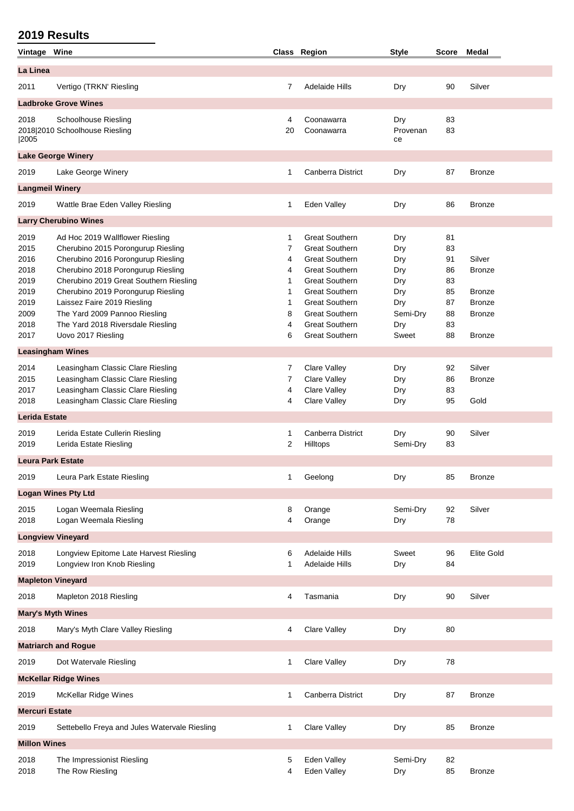| Vintage Wine             |                                                                       |              | Class Region                                   | <b>Style</b>          | Score    | <b>Medal</b>      |  |  |  |
|--------------------------|-----------------------------------------------------------------------|--------------|------------------------------------------------|-----------------------|----------|-------------------|--|--|--|
| La Linea                 |                                                                       |              |                                                |                       |          |                   |  |  |  |
| 2011                     | Vertigo (TRKN' Riesling                                               | 7            | Adelaide Hills                                 | Dry                   | 90       | Silver            |  |  |  |
|                          | <b>Ladbroke Grove Wines</b>                                           |              |                                                |                       |          |                   |  |  |  |
| 2018<br> 2005            | Schoolhouse Riesling<br>2018 2010 Schoolhouse Riesling                | 4<br>20      | Coonawarra<br>Coonawarra                       | Dry<br>Provenan<br>ce | 83<br>83 |                   |  |  |  |
|                          | <b>Lake George Winery</b>                                             |              |                                                |                       |          |                   |  |  |  |
| 2019                     | Lake George Winery                                                    | 1            | Canberra District                              | Dry                   | 87       | <b>Bronze</b>     |  |  |  |
| <b>Langmeil Winery</b>   |                                                                       |              |                                                |                       |          |                   |  |  |  |
| 2019                     | Wattle Brae Eden Valley Riesling                                      | 1            | Eden Valley                                    | Dry                   | 86       | <b>Bronze</b>     |  |  |  |
|                          | <b>Larry Cherubino Wines</b>                                          |              |                                                |                       |          |                   |  |  |  |
| 2019                     | Ad Hoc 2019 Wallflower Riesling                                       | 1            | <b>Great Southern</b>                          | Dry                   | 81       |                   |  |  |  |
| 2015                     | Cherubino 2015 Porongurup Riesling                                    | 7            | <b>Great Southern</b>                          | Dry                   | 83       |                   |  |  |  |
| 2016                     | Cherubino 2016 Porongurup Riesling                                    | 4            | <b>Great Southern</b>                          | Dry                   | 91       | Silver            |  |  |  |
| 2018                     | Cherubino 2018 Porongurup Riesling                                    | 4            | <b>Great Southern</b>                          | Dry                   | 86       | <b>Bronze</b>     |  |  |  |
| 2019                     | Cherubino 2019 Great Southern Riesling                                | 1            | <b>Great Southern</b>                          | Dry                   | 83       |                   |  |  |  |
| 2019                     | Cherubino 2019 Porongurup Riesling                                    | $\mathbf{1}$ | <b>Great Southern</b>                          | Dry                   | 85       | <b>Bronze</b>     |  |  |  |
| 2019                     | Laissez Faire 2019 Riesling                                           | 1            | <b>Great Southern</b>                          | Dry                   | 87       | <b>Bronze</b>     |  |  |  |
| 2009                     | The Yard 2009 Pannoo Riesling                                         | 8            | <b>Great Southern</b>                          | Semi-Dry              | 88       | <b>Bronze</b>     |  |  |  |
| 2018                     | The Yard 2018 Riversdale Riesling                                     | 4            | <b>Great Southern</b>                          | Dry                   | 83       |                   |  |  |  |
| 2017                     | Uovo 2017 Riesling                                                    | 6            | <b>Great Southern</b>                          | Sweet                 | 88       | <b>Bronze</b>     |  |  |  |
| <b>Leasingham Wines</b>  |                                                                       |              |                                                |                       |          |                   |  |  |  |
| 2014                     | Leasingham Classic Clare Riesling                                     | 7            | Clare Valley                                   | Dry                   | 92       | Silver            |  |  |  |
| 2015                     | Leasingham Classic Clare Riesling                                     | 7            | Clare Valley                                   | Dry                   | 86       | <b>Bronze</b>     |  |  |  |
| 2017                     | Leasingham Classic Clare Riesling                                     | 4            | Clare Valley                                   | Dry                   | 83       |                   |  |  |  |
| 2018                     | Leasingham Classic Clare Riesling                                     | 4            | Clare Valley                                   | Dry                   | 95       | Gold              |  |  |  |
| <b>Lerida Estate</b>     |                                                                       |              |                                                |                       |          |                   |  |  |  |
| 2019<br>2019             | Lerida Estate Cullerin Riesling<br>Lerida Estate Riesling             | 1<br>2       | Canberra District<br>Hilltops                  | Dry<br>Semi-Dry       | 90<br>83 | Silver            |  |  |  |
| <b>Leura Park Estate</b> |                                                                       |              |                                                |                       |          |                   |  |  |  |
| 2019                     | Leura Park Estate Riesling                                            | 1.           | Geelong                                        | Dry                   | 85       | <b>Bronze</b>     |  |  |  |
|                          | <b>Logan Wines Pty Ltd</b>                                            |              |                                                |                       |          |                   |  |  |  |
| 2015                     | Logan Weemala Riesling                                                | 8            | Orange                                         | Semi-Dry              | 92       | Silver            |  |  |  |
| 2018                     | Logan Weemala Riesling                                                | 4            | Orange                                         | Dry                   | 78       |                   |  |  |  |
| <b>Longview Vineyard</b> |                                                                       |              |                                                |                       |          |                   |  |  |  |
| 2018<br>2019             | Longview Epitome Late Harvest Riesling<br>Longview Iron Knob Riesling | 6<br>1       | <b>Adelaide Hills</b><br><b>Adelaide Hills</b> | Sweet<br>Dry          | 96<br>84 | <b>Elite Gold</b> |  |  |  |
| <b>Mapleton Vineyard</b> |                                                                       |              |                                                |                       |          |                   |  |  |  |
| 2018                     | Mapleton 2018 Riesling                                                | 4            | Tasmania                                       | Dry                   | 90       | Silver            |  |  |  |
| <b>Mary's Myth Wines</b> |                                                                       |              |                                                |                       |          |                   |  |  |  |
| 2018                     | Mary's Myth Clare Valley Riesling                                     | 4            | Clare Valley                                   | Dry                   | 80       |                   |  |  |  |
|                          | <b>Matriarch and Rogue</b>                                            |              |                                                |                       |          |                   |  |  |  |
| 2019                     | Dot Watervale Riesling                                                | 1            | Clare Valley                                   | Dry                   | 78       |                   |  |  |  |
|                          | <b>McKellar Ridge Wines</b>                                           |              |                                                |                       |          |                   |  |  |  |
| 2019                     | McKellar Ridge Wines                                                  | 1            | Canberra District                              | Dry                   | 87       | <b>Bronze</b>     |  |  |  |
| <b>Mercuri Estate</b>    |                                                                       |              |                                                |                       |          |                   |  |  |  |
| 2019                     | Settebello Freya and Jules Watervale Riesling                         | 1            | Clare Valley                                   | Dry                   | 85       | <b>Bronze</b>     |  |  |  |
| <b>Millon Wines</b>      |                                                                       |              |                                                |                       |          |                   |  |  |  |
|                          |                                                                       |              |                                                |                       |          |                   |  |  |  |
| 2018<br>2018             | The Impressionist Riesling<br>The Row Riesling                        | 5<br>4       | Eden Valley<br>Eden Valley                     | Semi-Dry<br>Dry       | 82<br>85 | <b>Bronze</b>     |  |  |  |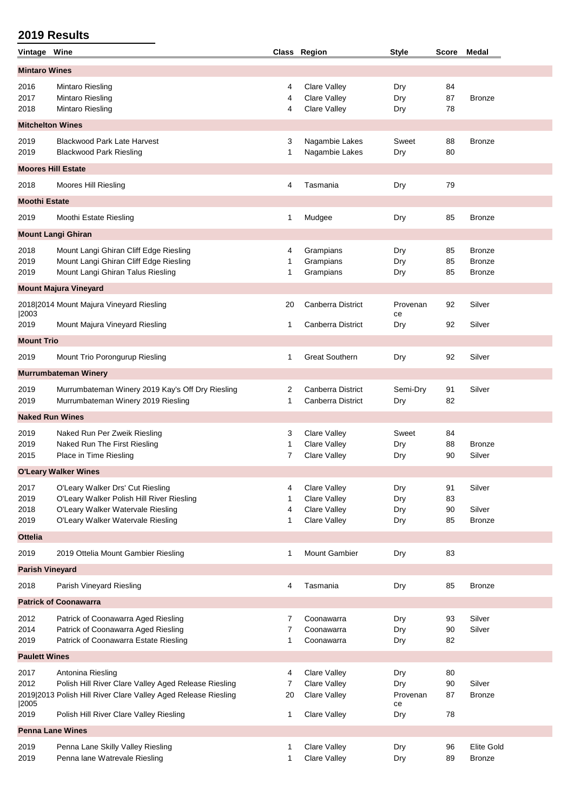| Vintage Wine            |                                                                    |        | Class Region                 | <b>Style</b> | <b>Score</b> | Medal                              |  |  |  |  |  |
|-------------------------|--------------------------------------------------------------------|--------|------------------------------|--------------|--------------|------------------------------------|--|--|--|--|--|
| <b>Mintaro Wines</b>    |                                                                    |        |                              |              |              |                                    |  |  |  |  |  |
| 2016                    | Mintaro Riesling                                                   | 4      | <b>Clare Valley</b>          | Dry          | 84           |                                    |  |  |  |  |  |
| 2017                    | Mintaro Riesling                                                   | 4      | Clare Valley                 | Dry          | 87           | <b>Bronze</b>                      |  |  |  |  |  |
| 2018                    | <b>Mintaro Riesling</b>                                            | 4      | <b>Clare Valley</b>          | Dry          | 78           |                                    |  |  |  |  |  |
| <b>Mitchelton Wines</b> |                                                                    |        |                              |              |              |                                    |  |  |  |  |  |
| 2019                    | <b>Blackwood Park Late Harvest</b>                                 | 3      | Nagambie Lakes               | Sweet        | 88           | <b>Bronze</b>                      |  |  |  |  |  |
| 2019                    | <b>Blackwood Park Riesling</b>                                     | 1      | Nagambie Lakes               | Dry          | 80           |                                    |  |  |  |  |  |
|                         | <b>Moores Hill Estate</b>                                          |        |                              |              |              |                                    |  |  |  |  |  |
| 2018                    | Moores Hill Riesling                                               | 4      | Tasmania                     | Dry          | 79           |                                    |  |  |  |  |  |
| <b>Moothi Estate</b>    |                                                                    |        |                              |              |              |                                    |  |  |  |  |  |
| 2019                    | Moothi Estate Riesling                                             | 1      | Mudgee                       | Dry          | 85           | <b>Bronze</b>                      |  |  |  |  |  |
|                         | <b>Mount Langi Ghiran</b>                                          |        |                              |              |              |                                    |  |  |  |  |  |
| 2018                    | Mount Langi Ghiran Cliff Edge Riesling                             | 4      | Grampians                    | Dry          | 85           | <b>Bronze</b>                      |  |  |  |  |  |
| 2019                    | Mount Langi Ghiran Cliff Edge Riesling                             | 1      | Grampians                    | Dry          | 85           | <b>Bronze</b>                      |  |  |  |  |  |
| 2019                    | Mount Langi Ghiran Talus Riesling                                  | 1      | Grampians                    | Dry          | 85           | <b>Bronze</b>                      |  |  |  |  |  |
|                         | <b>Mount Majura Vineyard</b>                                       |        |                              |              |              |                                    |  |  |  |  |  |
|                         | 2018 2014 Mount Majura Vineyard Riesling                           | 20     | <b>Canberra District</b>     | Provenan     | 92           | Silver                             |  |  |  |  |  |
| 2003                    |                                                                    |        |                              | ce           |              |                                    |  |  |  |  |  |
| 2019                    | Mount Majura Vineyard Riesling                                     | 1      | <b>Canberra District</b>     | Dry          | 92           | Silver                             |  |  |  |  |  |
| <b>Mount Trio</b>       |                                                                    |        |                              |              |              |                                    |  |  |  |  |  |
| 2019                    | Mount Trio Porongurup Riesling                                     | 1      | <b>Great Southern</b>        | Dry          | 92           | Silver                             |  |  |  |  |  |
|                         | <b>Murrumbateman Winery</b>                                        |        |                              |              |              |                                    |  |  |  |  |  |
| 2019                    | Murrumbateman Winery 2019 Kay's Off Dry Riesling                   | 2      | Canberra District            | Semi-Dry     | 91           | Silver                             |  |  |  |  |  |
| 2019                    | Murrumbateman Winery 2019 Riesling                                 | 1      | Canberra District            | Dry          | 82           |                                    |  |  |  |  |  |
| <b>Naked Run Wines</b>  |                                                                    |        |                              |              |              |                                    |  |  |  |  |  |
| 2019                    | Naked Run Per Zweik Riesling                                       | 3      | Clare Valley                 | Sweet        | 84           |                                    |  |  |  |  |  |
| 2019                    | Naked Run The First Riesling                                       | 1      | <b>Clare Valley</b>          | Dry          | 88           | <b>Bronze</b>                      |  |  |  |  |  |
| 2015                    | Place in Time Riesling                                             | 7      | <b>Clare Valley</b>          | Dry          | 90           | Silver                             |  |  |  |  |  |
|                         | <b>O'Leary Walker Wines</b>                                        |        |                              |              |              |                                    |  |  |  |  |  |
| 2017                    | O'Leary Walker Drs' Cut Riesling                                   | 4      | Clare Valley                 | Dry          | 91           | Silver                             |  |  |  |  |  |
| 2019                    | O'Leary Walker Polish Hill River Riesling                          | 1      | Clare Valley                 | Dry          | 83           |                                    |  |  |  |  |  |
| 2018                    | O'Leary Walker Watervale Riesling                                  | 4      | Clare Valley                 | Dry          | 90           | Silver                             |  |  |  |  |  |
| 2019                    | O'Leary Walker Watervale Riesling                                  | 1      | <b>Clare Valley</b>          | Dry          | 85           | <b>Bronze</b>                      |  |  |  |  |  |
| <b>Ottelia</b>          |                                                                    |        |                              |              |              |                                    |  |  |  |  |  |
| 2019                    | 2019 Ottelia Mount Gambier Riesling                                | 1      | <b>Mount Gambier</b>         | Dry          | 83           |                                    |  |  |  |  |  |
| <b>Parish Vineyard</b>  |                                                                    |        |                              |              |              |                                    |  |  |  |  |  |
| 2018                    | Parish Vineyard Riesling                                           | 4      | Tasmania                     | Dry          | 85           | <b>Bronze</b>                      |  |  |  |  |  |
|                         | <b>Patrick of Coonawarra</b>                                       |        |                              |              |              |                                    |  |  |  |  |  |
| 2012                    | Patrick of Coonawarra Aged Riesling                                | 7      | Coonawarra                   | Dry          | 93           | Silver                             |  |  |  |  |  |
| 2014                    | Patrick of Coonawarra Aged Riesling                                | 7      | Coonawarra                   | Dry          | 90           | Silver                             |  |  |  |  |  |
| 2019                    | Patrick of Coonawarra Estate Riesling                              | 1      | Coonawarra                   | Dry          | 82           |                                    |  |  |  |  |  |
| <b>Paulett Wines</b>    |                                                                    |        |                              |              |              |                                    |  |  |  |  |  |
| 2017                    | Antonina Riesling                                                  | 4      | Clare Valley                 | Dry          | 80           |                                    |  |  |  |  |  |
| 2012                    | Polish Hill River Clare Valley Aged Release Riesling               | 7      | <b>Clare Valley</b>          | Dry          | 90           | Silver                             |  |  |  |  |  |
|                         | 2019 2013 Polish Hill River Clare Valley Aged Release Riesling     | 20     | <b>Clare Valley</b>          | Provenan     | 87           | <b>Bronze</b>                      |  |  |  |  |  |
| 2005<br>2019            | Polish Hill River Clare Valley Riesling                            | 1      | Clare Valley                 | ce<br>Dry    | 78           |                                    |  |  |  |  |  |
|                         |                                                                    |        |                              |              |              |                                    |  |  |  |  |  |
| <b>Penna Lane Wines</b> |                                                                    |        |                              |              |              |                                    |  |  |  |  |  |
| 2019<br>2019            | Penna Lane Skilly Valley Riesling<br>Penna lane Watrevale Riesling | 1<br>1 | Clare Valley<br>Clare Valley | Dry<br>Dry   | 96<br>89     | <b>Elite Gold</b><br><b>Bronze</b> |  |  |  |  |  |
|                         |                                                                    |        |                              |              |              |                                    |  |  |  |  |  |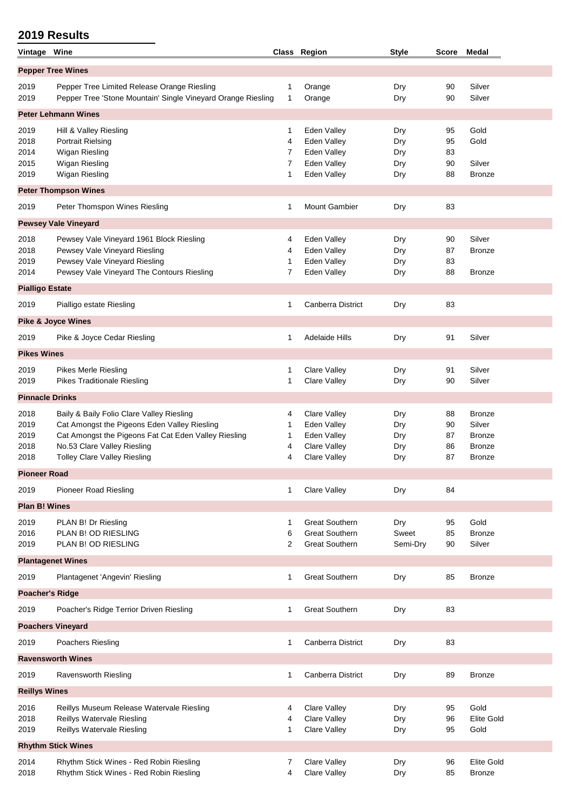| <b>Pepper Tree Wines</b><br>Silver<br>Pepper Tree Limited Release Orange Riesling<br>Orange<br>90<br>Dry<br>1<br>Pepper Tree 'Stone Mountain' Single Vineyard Orange Riesling<br>Silver<br>Orange<br>90<br>1<br>Dry<br><b>Peter Lehmann Wines</b><br>Hill & Valley Riesling<br>Eden Valley<br>Gold<br>2019<br>1<br>Dry<br>95<br>Eden Valley<br><b>Portrait Rielsing</b><br>95<br>Gold<br>4<br>Dry<br>Wigan Riesling<br>Eden Valley<br>7<br>Dry<br>83<br>Wigan Riesling<br>Silver<br>Eden Valley<br>90<br>7<br>Dry<br>Wigan Riesling<br>Eden Valley<br>88<br>1<br>Dry<br><b>Bronze</b><br><b>Peter Thompson Wines</b><br>Peter Thomspon Wines Riesling<br><b>Mount Gambier</b><br>83<br>1<br>Dry<br><b>Pewsey Vale Vineyard</b><br>Pewsey Vale Vineyard 1961 Block Riesling<br>Eden Valley<br>Silver<br>2018<br>Dry<br>90<br>4<br>Pewsey Vale Vineyard Riesling<br>Eden Valley<br>87<br>2018<br>4<br>Dry<br><b>Bronze</b><br>Pewsey Vale Vineyard Riesling<br>Eden Valley<br>83<br>Dry<br>1<br>Pewsey Vale Vineyard The Contours Riesling<br>7<br>Eden Valley<br>Dry<br>88<br><b>Bronze</b><br><b>Pialligo Estate</b><br>Pialligo estate Riesling<br>Canberra District<br>83<br>2019<br>1<br>Dry<br><b>Pike &amp; Joyce Wines</b><br>2019<br>Pike & Joyce Cedar Riesling<br><b>Adelaide Hills</b><br>91<br>Silver<br>1<br>Dry<br><b>Pikes Wines</b><br>Silver<br><b>Pikes Merle Riesling</b><br><b>Clare Valley</b><br>91<br>Dry<br>1<br>Pikes Traditionale Riesling<br>Clare Valley<br>90<br>Silver<br>1<br>Dry<br><b>Pinnacle Drinks</b><br>Baily & Baily Folio Clare Valley Riesling<br>Clare Valley<br>Dry<br>88<br><b>Bronze</b><br>4<br>Cat Amongst the Pigeons Eden Valley Riesling<br>Eden Valley<br>90<br>Silver<br>Dry<br>1<br>Cat Amongst the Pigeons Fat Cat Eden Valley Riesling<br>Eden Valley<br>Dry<br>87<br><b>Bronze</b><br>1<br>No.53 Clare Valley Riesling<br><b>Clare Valley</b><br>Dry<br>86<br><b>Bronze</b><br>4<br>Tolley Clare Valley Riesling<br>Clare Valley<br>4<br>Dry<br>87<br>Bronze<br><b>Pioneer Road</b><br><b>Pioneer Road Riesling</b><br><b>Clare Valley</b><br>Dry<br>84<br>1<br><b>Plan B! Wines</b><br><b>Great Southern</b><br>Gold<br>PLAN B! Dr Riesling<br>Dry<br>95<br>1<br>PLAN B! OD RIESLING<br><b>Great Southern</b><br>Sweet<br>2016<br>85<br>Bronze<br>6<br>PLAN B! OD RIESLING<br><b>Great Southern</b><br>2<br>Semi-Dry<br>90<br>Silver<br><b>Plantagenet Wines</b><br><b>Great Southern</b><br>Plantagenet 'Angevin' Riesling<br>Dry<br>85<br><b>Bronze</b><br>2019<br>1<br><b>Poacher's Ridge</b><br><b>Great Southern</b><br>83<br>Poacher's Ridge Terrior Driven Riesling<br>Dry<br>2019<br>1<br><b>Poachers Vineyard</b><br>Poachers Riesling<br>Canberra District<br>Dry<br>83<br>1<br><b>Ravensworth Wines</b><br>Canberra District<br>Ravensworth Riesling<br>Dry<br>89<br>1<br><b>Bronze</b><br><b>Reillys Wines</b><br>Reillys Museum Release Watervale Riesling<br>Gold<br><b>Clare Valley</b><br>Dry<br>95<br>4<br>Clare Valley<br>Reillys Watervale Riesling<br>Dry<br>96<br>4<br>Reillys Watervale Riesling<br>Clare Valley<br>95<br>Gold<br>Dry<br>1<br><b>Rhythm Stick Wines</b><br>Rhythm Stick Wines - Red Robin Riesling<br>Clare Valley<br>Dry<br>2014<br>7<br>96<br>4 | Vintage Wine |                                         | Class Region        | <b>Style</b> | <b>Score</b> | <b>Medal</b> |
|-------------------------------------------------------------------------------------------------------------------------------------------------------------------------------------------------------------------------------------------------------------------------------------------------------------------------------------------------------------------------------------------------------------------------------------------------------------------------------------------------------------------------------------------------------------------------------------------------------------------------------------------------------------------------------------------------------------------------------------------------------------------------------------------------------------------------------------------------------------------------------------------------------------------------------------------------------------------------------------------------------------------------------------------------------------------------------------------------------------------------------------------------------------------------------------------------------------------------------------------------------------------------------------------------------------------------------------------------------------------------------------------------------------------------------------------------------------------------------------------------------------------------------------------------------------------------------------------------------------------------------------------------------------------------------------------------------------------------------------------------------------------------------------------------------------------------------------------------------------------------------------------------------------------------------------------------------------------------------------------------------------------------------------------------------------------------------------------------------------------------------------------------------------------------------------------------------------------------------------------------------------------------------------------------------------------------------------------------------------------------------------------------------------------------------------------------------------------------------------------------------------------------------------------------------------------------------------------------------------------------------------------------------------------------------------------------------------------------------------------------------------------------------------------------------------------------------------------------------------------------------------------------------------------------------------------------------------------------------------------------------------------------------------------------------------------------------------------------------------------------------------------------------------------------------------------------------------------------------------------------|--------------|-----------------------------------------|---------------------|--------------|--------------|--------------|
| <b>Elite Gold</b><br><b>Elite Gold</b>                                                                                                                                                                                                                                                                                                                                                                                                                                                                                                                                                                                                                                                                                                                                                                                                                                                                                                                                                                                                                                                                                                                                                                                                                                                                                                                                                                                                                                                                                                                                                                                                                                                                                                                                                                                                                                                                                                                                                                                                                                                                                                                                                                                                                                                                                                                                                                                                                                                                                                                                                                                                                                                                                                                                                                                                                                                                                                                                                                                                                                                                                                                                                                                                          |              |                                         |                     |              |              |              |
|                                                                                                                                                                                                                                                                                                                                                                                                                                                                                                                                                                                                                                                                                                                                                                                                                                                                                                                                                                                                                                                                                                                                                                                                                                                                                                                                                                                                                                                                                                                                                                                                                                                                                                                                                                                                                                                                                                                                                                                                                                                                                                                                                                                                                                                                                                                                                                                                                                                                                                                                                                                                                                                                                                                                                                                                                                                                                                                                                                                                                                                                                                                                                                                                                                                 | 2019         |                                         |                     |              |              |              |
|                                                                                                                                                                                                                                                                                                                                                                                                                                                                                                                                                                                                                                                                                                                                                                                                                                                                                                                                                                                                                                                                                                                                                                                                                                                                                                                                                                                                                                                                                                                                                                                                                                                                                                                                                                                                                                                                                                                                                                                                                                                                                                                                                                                                                                                                                                                                                                                                                                                                                                                                                                                                                                                                                                                                                                                                                                                                                                                                                                                                                                                                                                                                                                                                                                                 | 2019         |                                         |                     |              |              |              |
|                                                                                                                                                                                                                                                                                                                                                                                                                                                                                                                                                                                                                                                                                                                                                                                                                                                                                                                                                                                                                                                                                                                                                                                                                                                                                                                                                                                                                                                                                                                                                                                                                                                                                                                                                                                                                                                                                                                                                                                                                                                                                                                                                                                                                                                                                                                                                                                                                                                                                                                                                                                                                                                                                                                                                                                                                                                                                                                                                                                                                                                                                                                                                                                                                                                 |              |                                         |                     |              |              |              |
|                                                                                                                                                                                                                                                                                                                                                                                                                                                                                                                                                                                                                                                                                                                                                                                                                                                                                                                                                                                                                                                                                                                                                                                                                                                                                                                                                                                                                                                                                                                                                                                                                                                                                                                                                                                                                                                                                                                                                                                                                                                                                                                                                                                                                                                                                                                                                                                                                                                                                                                                                                                                                                                                                                                                                                                                                                                                                                                                                                                                                                                                                                                                                                                                                                                 |              |                                         |                     |              |              |              |
|                                                                                                                                                                                                                                                                                                                                                                                                                                                                                                                                                                                                                                                                                                                                                                                                                                                                                                                                                                                                                                                                                                                                                                                                                                                                                                                                                                                                                                                                                                                                                                                                                                                                                                                                                                                                                                                                                                                                                                                                                                                                                                                                                                                                                                                                                                                                                                                                                                                                                                                                                                                                                                                                                                                                                                                                                                                                                                                                                                                                                                                                                                                                                                                                                                                 | 2018         |                                         |                     |              |              |              |
|                                                                                                                                                                                                                                                                                                                                                                                                                                                                                                                                                                                                                                                                                                                                                                                                                                                                                                                                                                                                                                                                                                                                                                                                                                                                                                                                                                                                                                                                                                                                                                                                                                                                                                                                                                                                                                                                                                                                                                                                                                                                                                                                                                                                                                                                                                                                                                                                                                                                                                                                                                                                                                                                                                                                                                                                                                                                                                                                                                                                                                                                                                                                                                                                                                                 | 2014         |                                         |                     |              |              |              |
|                                                                                                                                                                                                                                                                                                                                                                                                                                                                                                                                                                                                                                                                                                                                                                                                                                                                                                                                                                                                                                                                                                                                                                                                                                                                                                                                                                                                                                                                                                                                                                                                                                                                                                                                                                                                                                                                                                                                                                                                                                                                                                                                                                                                                                                                                                                                                                                                                                                                                                                                                                                                                                                                                                                                                                                                                                                                                                                                                                                                                                                                                                                                                                                                                                                 | 2015         |                                         |                     |              |              |              |
|                                                                                                                                                                                                                                                                                                                                                                                                                                                                                                                                                                                                                                                                                                                                                                                                                                                                                                                                                                                                                                                                                                                                                                                                                                                                                                                                                                                                                                                                                                                                                                                                                                                                                                                                                                                                                                                                                                                                                                                                                                                                                                                                                                                                                                                                                                                                                                                                                                                                                                                                                                                                                                                                                                                                                                                                                                                                                                                                                                                                                                                                                                                                                                                                                                                 | 2019         |                                         |                     |              |              |              |
|                                                                                                                                                                                                                                                                                                                                                                                                                                                                                                                                                                                                                                                                                                                                                                                                                                                                                                                                                                                                                                                                                                                                                                                                                                                                                                                                                                                                                                                                                                                                                                                                                                                                                                                                                                                                                                                                                                                                                                                                                                                                                                                                                                                                                                                                                                                                                                                                                                                                                                                                                                                                                                                                                                                                                                                                                                                                                                                                                                                                                                                                                                                                                                                                                                                 |              |                                         |                     |              |              |              |
|                                                                                                                                                                                                                                                                                                                                                                                                                                                                                                                                                                                                                                                                                                                                                                                                                                                                                                                                                                                                                                                                                                                                                                                                                                                                                                                                                                                                                                                                                                                                                                                                                                                                                                                                                                                                                                                                                                                                                                                                                                                                                                                                                                                                                                                                                                                                                                                                                                                                                                                                                                                                                                                                                                                                                                                                                                                                                                                                                                                                                                                                                                                                                                                                                                                 | 2019         |                                         |                     |              |              |              |
|                                                                                                                                                                                                                                                                                                                                                                                                                                                                                                                                                                                                                                                                                                                                                                                                                                                                                                                                                                                                                                                                                                                                                                                                                                                                                                                                                                                                                                                                                                                                                                                                                                                                                                                                                                                                                                                                                                                                                                                                                                                                                                                                                                                                                                                                                                                                                                                                                                                                                                                                                                                                                                                                                                                                                                                                                                                                                                                                                                                                                                                                                                                                                                                                                                                 |              |                                         |                     |              |              |              |
|                                                                                                                                                                                                                                                                                                                                                                                                                                                                                                                                                                                                                                                                                                                                                                                                                                                                                                                                                                                                                                                                                                                                                                                                                                                                                                                                                                                                                                                                                                                                                                                                                                                                                                                                                                                                                                                                                                                                                                                                                                                                                                                                                                                                                                                                                                                                                                                                                                                                                                                                                                                                                                                                                                                                                                                                                                                                                                                                                                                                                                                                                                                                                                                                                                                 |              |                                         |                     |              |              |              |
|                                                                                                                                                                                                                                                                                                                                                                                                                                                                                                                                                                                                                                                                                                                                                                                                                                                                                                                                                                                                                                                                                                                                                                                                                                                                                                                                                                                                                                                                                                                                                                                                                                                                                                                                                                                                                                                                                                                                                                                                                                                                                                                                                                                                                                                                                                                                                                                                                                                                                                                                                                                                                                                                                                                                                                                                                                                                                                                                                                                                                                                                                                                                                                                                                                                 |              |                                         |                     |              |              |              |
|                                                                                                                                                                                                                                                                                                                                                                                                                                                                                                                                                                                                                                                                                                                                                                                                                                                                                                                                                                                                                                                                                                                                                                                                                                                                                                                                                                                                                                                                                                                                                                                                                                                                                                                                                                                                                                                                                                                                                                                                                                                                                                                                                                                                                                                                                                                                                                                                                                                                                                                                                                                                                                                                                                                                                                                                                                                                                                                                                                                                                                                                                                                                                                                                                                                 | 2019         |                                         |                     |              |              |              |
|                                                                                                                                                                                                                                                                                                                                                                                                                                                                                                                                                                                                                                                                                                                                                                                                                                                                                                                                                                                                                                                                                                                                                                                                                                                                                                                                                                                                                                                                                                                                                                                                                                                                                                                                                                                                                                                                                                                                                                                                                                                                                                                                                                                                                                                                                                                                                                                                                                                                                                                                                                                                                                                                                                                                                                                                                                                                                                                                                                                                                                                                                                                                                                                                                                                 | 2014         |                                         |                     |              |              |              |
|                                                                                                                                                                                                                                                                                                                                                                                                                                                                                                                                                                                                                                                                                                                                                                                                                                                                                                                                                                                                                                                                                                                                                                                                                                                                                                                                                                                                                                                                                                                                                                                                                                                                                                                                                                                                                                                                                                                                                                                                                                                                                                                                                                                                                                                                                                                                                                                                                                                                                                                                                                                                                                                                                                                                                                                                                                                                                                                                                                                                                                                                                                                                                                                                                                                 |              |                                         |                     |              |              |              |
|                                                                                                                                                                                                                                                                                                                                                                                                                                                                                                                                                                                                                                                                                                                                                                                                                                                                                                                                                                                                                                                                                                                                                                                                                                                                                                                                                                                                                                                                                                                                                                                                                                                                                                                                                                                                                                                                                                                                                                                                                                                                                                                                                                                                                                                                                                                                                                                                                                                                                                                                                                                                                                                                                                                                                                                                                                                                                                                                                                                                                                                                                                                                                                                                                                                 |              |                                         |                     |              |              |              |
|                                                                                                                                                                                                                                                                                                                                                                                                                                                                                                                                                                                                                                                                                                                                                                                                                                                                                                                                                                                                                                                                                                                                                                                                                                                                                                                                                                                                                                                                                                                                                                                                                                                                                                                                                                                                                                                                                                                                                                                                                                                                                                                                                                                                                                                                                                                                                                                                                                                                                                                                                                                                                                                                                                                                                                                                                                                                                                                                                                                                                                                                                                                                                                                                                                                 |              |                                         |                     |              |              |              |
|                                                                                                                                                                                                                                                                                                                                                                                                                                                                                                                                                                                                                                                                                                                                                                                                                                                                                                                                                                                                                                                                                                                                                                                                                                                                                                                                                                                                                                                                                                                                                                                                                                                                                                                                                                                                                                                                                                                                                                                                                                                                                                                                                                                                                                                                                                                                                                                                                                                                                                                                                                                                                                                                                                                                                                                                                                                                                                                                                                                                                                                                                                                                                                                                                                                 |              |                                         |                     |              |              |              |
|                                                                                                                                                                                                                                                                                                                                                                                                                                                                                                                                                                                                                                                                                                                                                                                                                                                                                                                                                                                                                                                                                                                                                                                                                                                                                                                                                                                                                                                                                                                                                                                                                                                                                                                                                                                                                                                                                                                                                                                                                                                                                                                                                                                                                                                                                                                                                                                                                                                                                                                                                                                                                                                                                                                                                                                                                                                                                                                                                                                                                                                                                                                                                                                                                                                 |              |                                         |                     |              |              |              |
|                                                                                                                                                                                                                                                                                                                                                                                                                                                                                                                                                                                                                                                                                                                                                                                                                                                                                                                                                                                                                                                                                                                                                                                                                                                                                                                                                                                                                                                                                                                                                                                                                                                                                                                                                                                                                                                                                                                                                                                                                                                                                                                                                                                                                                                                                                                                                                                                                                                                                                                                                                                                                                                                                                                                                                                                                                                                                                                                                                                                                                                                                                                                                                                                                                                 |              |                                         |                     |              |              |              |
|                                                                                                                                                                                                                                                                                                                                                                                                                                                                                                                                                                                                                                                                                                                                                                                                                                                                                                                                                                                                                                                                                                                                                                                                                                                                                                                                                                                                                                                                                                                                                                                                                                                                                                                                                                                                                                                                                                                                                                                                                                                                                                                                                                                                                                                                                                                                                                                                                                                                                                                                                                                                                                                                                                                                                                                                                                                                                                                                                                                                                                                                                                                                                                                                                                                 | 2019         |                                         |                     |              |              |              |
|                                                                                                                                                                                                                                                                                                                                                                                                                                                                                                                                                                                                                                                                                                                                                                                                                                                                                                                                                                                                                                                                                                                                                                                                                                                                                                                                                                                                                                                                                                                                                                                                                                                                                                                                                                                                                                                                                                                                                                                                                                                                                                                                                                                                                                                                                                                                                                                                                                                                                                                                                                                                                                                                                                                                                                                                                                                                                                                                                                                                                                                                                                                                                                                                                                                 | 2019         |                                         |                     |              |              |              |
|                                                                                                                                                                                                                                                                                                                                                                                                                                                                                                                                                                                                                                                                                                                                                                                                                                                                                                                                                                                                                                                                                                                                                                                                                                                                                                                                                                                                                                                                                                                                                                                                                                                                                                                                                                                                                                                                                                                                                                                                                                                                                                                                                                                                                                                                                                                                                                                                                                                                                                                                                                                                                                                                                                                                                                                                                                                                                                                                                                                                                                                                                                                                                                                                                                                 |              |                                         |                     |              |              |              |
|                                                                                                                                                                                                                                                                                                                                                                                                                                                                                                                                                                                                                                                                                                                                                                                                                                                                                                                                                                                                                                                                                                                                                                                                                                                                                                                                                                                                                                                                                                                                                                                                                                                                                                                                                                                                                                                                                                                                                                                                                                                                                                                                                                                                                                                                                                                                                                                                                                                                                                                                                                                                                                                                                                                                                                                                                                                                                                                                                                                                                                                                                                                                                                                                                                                 | 2018         |                                         |                     |              |              |              |
|                                                                                                                                                                                                                                                                                                                                                                                                                                                                                                                                                                                                                                                                                                                                                                                                                                                                                                                                                                                                                                                                                                                                                                                                                                                                                                                                                                                                                                                                                                                                                                                                                                                                                                                                                                                                                                                                                                                                                                                                                                                                                                                                                                                                                                                                                                                                                                                                                                                                                                                                                                                                                                                                                                                                                                                                                                                                                                                                                                                                                                                                                                                                                                                                                                                 | 2019         |                                         |                     |              |              |              |
|                                                                                                                                                                                                                                                                                                                                                                                                                                                                                                                                                                                                                                                                                                                                                                                                                                                                                                                                                                                                                                                                                                                                                                                                                                                                                                                                                                                                                                                                                                                                                                                                                                                                                                                                                                                                                                                                                                                                                                                                                                                                                                                                                                                                                                                                                                                                                                                                                                                                                                                                                                                                                                                                                                                                                                                                                                                                                                                                                                                                                                                                                                                                                                                                                                                 | 2019         |                                         |                     |              |              |              |
|                                                                                                                                                                                                                                                                                                                                                                                                                                                                                                                                                                                                                                                                                                                                                                                                                                                                                                                                                                                                                                                                                                                                                                                                                                                                                                                                                                                                                                                                                                                                                                                                                                                                                                                                                                                                                                                                                                                                                                                                                                                                                                                                                                                                                                                                                                                                                                                                                                                                                                                                                                                                                                                                                                                                                                                                                                                                                                                                                                                                                                                                                                                                                                                                                                                 | 2018         |                                         |                     |              |              |              |
|                                                                                                                                                                                                                                                                                                                                                                                                                                                                                                                                                                                                                                                                                                                                                                                                                                                                                                                                                                                                                                                                                                                                                                                                                                                                                                                                                                                                                                                                                                                                                                                                                                                                                                                                                                                                                                                                                                                                                                                                                                                                                                                                                                                                                                                                                                                                                                                                                                                                                                                                                                                                                                                                                                                                                                                                                                                                                                                                                                                                                                                                                                                                                                                                                                                 | 2018         |                                         |                     |              |              |              |
|                                                                                                                                                                                                                                                                                                                                                                                                                                                                                                                                                                                                                                                                                                                                                                                                                                                                                                                                                                                                                                                                                                                                                                                                                                                                                                                                                                                                                                                                                                                                                                                                                                                                                                                                                                                                                                                                                                                                                                                                                                                                                                                                                                                                                                                                                                                                                                                                                                                                                                                                                                                                                                                                                                                                                                                                                                                                                                                                                                                                                                                                                                                                                                                                                                                 |              |                                         |                     |              |              |              |
|                                                                                                                                                                                                                                                                                                                                                                                                                                                                                                                                                                                                                                                                                                                                                                                                                                                                                                                                                                                                                                                                                                                                                                                                                                                                                                                                                                                                                                                                                                                                                                                                                                                                                                                                                                                                                                                                                                                                                                                                                                                                                                                                                                                                                                                                                                                                                                                                                                                                                                                                                                                                                                                                                                                                                                                                                                                                                                                                                                                                                                                                                                                                                                                                                                                 | 2019         |                                         |                     |              |              |              |
|                                                                                                                                                                                                                                                                                                                                                                                                                                                                                                                                                                                                                                                                                                                                                                                                                                                                                                                                                                                                                                                                                                                                                                                                                                                                                                                                                                                                                                                                                                                                                                                                                                                                                                                                                                                                                                                                                                                                                                                                                                                                                                                                                                                                                                                                                                                                                                                                                                                                                                                                                                                                                                                                                                                                                                                                                                                                                                                                                                                                                                                                                                                                                                                                                                                 |              |                                         |                     |              |              |              |
|                                                                                                                                                                                                                                                                                                                                                                                                                                                                                                                                                                                                                                                                                                                                                                                                                                                                                                                                                                                                                                                                                                                                                                                                                                                                                                                                                                                                                                                                                                                                                                                                                                                                                                                                                                                                                                                                                                                                                                                                                                                                                                                                                                                                                                                                                                                                                                                                                                                                                                                                                                                                                                                                                                                                                                                                                                                                                                                                                                                                                                                                                                                                                                                                                                                 | 2019         |                                         |                     |              |              |              |
|                                                                                                                                                                                                                                                                                                                                                                                                                                                                                                                                                                                                                                                                                                                                                                                                                                                                                                                                                                                                                                                                                                                                                                                                                                                                                                                                                                                                                                                                                                                                                                                                                                                                                                                                                                                                                                                                                                                                                                                                                                                                                                                                                                                                                                                                                                                                                                                                                                                                                                                                                                                                                                                                                                                                                                                                                                                                                                                                                                                                                                                                                                                                                                                                                                                 |              |                                         |                     |              |              |              |
|                                                                                                                                                                                                                                                                                                                                                                                                                                                                                                                                                                                                                                                                                                                                                                                                                                                                                                                                                                                                                                                                                                                                                                                                                                                                                                                                                                                                                                                                                                                                                                                                                                                                                                                                                                                                                                                                                                                                                                                                                                                                                                                                                                                                                                                                                                                                                                                                                                                                                                                                                                                                                                                                                                                                                                                                                                                                                                                                                                                                                                                                                                                                                                                                                                                 | 2019         |                                         |                     |              |              |              |
|                                                                                                                                                                                                                                                                                                                                                                                                                                                                                                                                                                                                                                                                                                                                                                                                                                                                                                                                                                                                                                                                                                                                                                                                                                                                                                                                                                                                                                                                                                                                                                                                                                                                                                                                                                                                                                                                                                                                                                                                                                                                                                                                                                                                                                                                                                                                                                                                                                                                                                                                                                                                                                                                                                                                                                                                                                                                                                                                                                                                                                                                                                                                                                                                                                                 |              |                                         |                     |              |              |              |
|                                                                                                                                                                                                                                                                                                                                                                                                                                                                                                                                                                                                                                                                                                                                                                                                                                                                                                                                                                                                                                                                                                                                                                                                                                                                                                                                                                                                                                                                                                                                                                                                                                                                                                                                                                                                                                                                                                                                                                                                                                                                                                                                                                                                                                                                                                                                                                                                                                                                                                                                                                                                                                                                                                                                                                                                                                                                                                                                                                                                                                                                                                                                                                                                                                                 |              |                                         |                     |              |              |              |
|                                                                                                                                                                                                                                                                                                                                                                                                                                                                                                                                                                                                                                                                                                                                                                                                                                                                                                                                                                                                                                                                                                                                                                                                                                                                                                                                                                                                                                                                                                                                                                                                                                                                                                                                                                                                                                                                                                                                                                                                                                                                                                                                                                                                                                                                                                                                                                                                                                                                                                                                                                                                                                                                                                                                                                                                                                                                                                                                                                                                                                                                                                                                                                                                                                                 |              |                                         |                     |              |              |              |
|                                                                                                                                                                                                                                                                                                                                                                                                                                                                                                                                                                                                                                                                                                                                                                                                                                                                                                                                                                                                                                                                                                                                                                                                                                                                                                                                                                                                                                                                                                                                                                                                                                                                                                                                                                                                                                                                                                                                                                                                                                                                                                                                                                                                                                                                                                                                                                                                                                                                                                                                                                                                                                                                                                                                                                                                                                                                                                                                                                                                                                                                                                                                                                                                                                                 |              |                                         |                     |              |              |              |
|                                                                                                                                                                                                                                                                                                                                                                                                                                                                                                                                                                                                                                                                                                                                                                                                                                                                                                                                                                                                                                                                                                                                                                                                                                                                                                                                                                                                                                                                                                                                                                                                                                                                                                                                                                                                                                                                                                                                                                                                                                                                                                                                                                                                                                                                                                                                                                                                                                                                                                                                                                                                                                                                                                                                                                                                                                                                                                                                                                                                                                                                                                                                                                                                                                                 |              |                                         |                     |              |              |              |
|                                                                                                                                                                                                                                                                                                                                                                                                                                                                                                                                                                                                                                                                                                                                                                                                                                                                                                                                                                                                                                                                                                                                                                                                                                                                                                                                                                                                                                                                                                                                                                                                                                                                                                                                                                                                                                                                                                                                                                                                                                                                                                                                                                                                                                                                                                                                                                                                                                                                                                                                                                                                                                                                                                                                                                                                                                                                                                                                                                                                                                                                                                                                                                                                                                                 |              |                                         |                     |              |              |              |
|                                                                                                                                                                                                                                                                                                                                                                                                                                                                                                                                                                                                                                                                                                                                                                                                                                                                                                                                                                                                                                                                                                                                                                                                                                                                                                                                                                                                                                                                                                                                                                                                                                                                                                                                                                                                                                                                                                                                                                                                                                                                                                                                                                                                                                                                                                                                                                                                                                                                                                                                                                                                                                                                                                                                                                                                                                                                                                                                                                                                                                                                                                                                                                                                                                                 | 2019         |                                         |                     |              |              |              |
|                                                                                                                                                                                                                                                                                                                                                                                                                                                                                                                                                                                                                                                                                                                                                                                                                                                                                                                                                                                                                                                                                                                                                                                                                                                                                                                                                                                                                                                                                                                                                                                                                                                                                                                                                                                                                                                                                                                                                                                                                                                                                                                                                                                                                                                                                                                                                                                                                                                                                                                                                                                                                                                                                                                                                                                                                                                                                                                                                                                                                                                                                                                                                                                                                                                 |              |                                         |                     |              |              |              |
|                                                                                                                                                                                                                                                                                                                                                                                                                                                                                                                                                                                                                                                                                                                                                                                                                                                                                                                                                                                                                                                                                                                                                                                                                                                                                                                                                                                                                                                                                                                                                                                                                                                                                                                                                                                                                                                                                                                                                                                                                                                                                                                                                                                                                                                                                                                                                                                                                                                                                                                                                                                                                                                                                                                                                                                                                                                                                                                                                                                                                                                                                                                                                                                                                                                 | 2019         |                                         |                     |              |              |              |
|                                                                                                                                                                                                                                                                                                                                                                                                                                                                                                                                                                                                                                                                                                                                                                                                                                                                                                                                                                                                                                                                                                                                                                                                                                                                                                                                                                                                                                                                                                                                                                                                                                                                                                                                                                                                                                                                                                                                                                                                                                                                                                                                                                                                                                                                                                                                                                                                                                                                                                                                                                                                                                                                                                                                                                                                                                                                                                                                                                                                                                                                                                                                                                                                                                                 |              |                                         |                     |              |              |              |
|                                                                                                                                                                                                                                                                                                                                                                                                                                                                                                                                                                                                                                                                                                                                                                                                                                                                                                                                                                                                                                                                                                                                                                                                                                                                                                                                                                                                                                                                                                                                                                                                                                                                                                                                                                                                                                                                                                                                                                                                                                                                                                                                                                                                                                                                                                                                                                                                                                                                                                                                                                                                                                                                                                                                                                                                                                                                                                                                                                                                                                                                                                                                                                                                                                                 | 2016         |                                         |                     |              |              |              |
|                                                                                                                                                                                                                                                                                                                                                                                                                                                                                                                                                                                                                                                                                                                                                                                                                                                                                                                                                                                                                                                                                                                                                                                                                                                                                                                                                                                                                                                                                                                                                                                                                                                                                                                                                                                                                                                                                                                                                                                                                                                                                                                                                                                                                                                                                                                                                                                                                                                                                                                                                                                                                                                                                                                                                                                                                                                                                                                                                                                                                                                                                                                                                                                                                                                 | 2018         |                                         |                     |              |              |              |
|                                                                                                                                                                                                                                                                                                                                                                                                                                                                                                                                                                                                                                                                                                                                                                                                                                                                                                                                                                                                                                                                                                                                                                                                                                                                                                                                                                                                                                                                                                                                                                                                                                                                                                                                                                                                                                                                                                                                                                                                                                                                                                                                                                                                                                                                                                                                                                                                                                                                                                                                                                                                                                                                                                                                                                                                                                                                                                                                                                                                                                                                                                                                                                                                                                                 | 2019         |                                         |                     |              |              |              |
|                                                                                                                                                                                                                                                                                                                                                                                                                                                                                                                                                                                                                                                                                                                                                                                                                                                                                                                                                                                                                                                                                                                                                                                                                                                                                                                                                                                                                                                                                                                                                                                                                                                                                                                                                                                                                                                                                                                                                                                                                                                                                                                                                                                                                                                                                                                                                                                                                                                                                                                                                                                                                                                                                                                                                                                                                                                                                                                                                                                                                                                                                                                                                                                                                                                 |              |                                         |                     |              |              |              |
|                                                                                                                                                                                                                                                                                                                                                                                                                                                                                                                                                                                                                                                                                                                                                                                                                                                                                                                                                                                                                                                                                                                                                                                                                                                                                                                                                                                                                                                                                                                                                                                                                                                                                                                                                                                                                                                                                                                                                                                                                                                                                                                                                                                                                                                                                                                                                                                                                                                                                                                                                                                                                                                                                                                                                                                                                                                                                                                                                                                                                                                                                                                                                                                                                                                 |              |                                         |                     |              |              |              |
|                                                                                                                                                                                                                                                                                                                                                                                                                                                                                                                                                                                                                                                                                                                                                                                                                                                                                                                                                                                                                                                                                                                                                                                                                                                                                                                                                                                                                                                                                                                                                                                                                                                                                                                                                                                                                                                                                                                                                                                                                                                                                                                                                                                                                                                                                                                                                                                                                                                                                                                                                                                                                                                                                                                                                                                                                                                                                                                                                                                                                                                                                                                                                                                                                                                 | 2018         | Rhythm Stick Wines - Red Robin Riesling | <b>Clare Valley</b> | Dry          | 85           | Bronze       |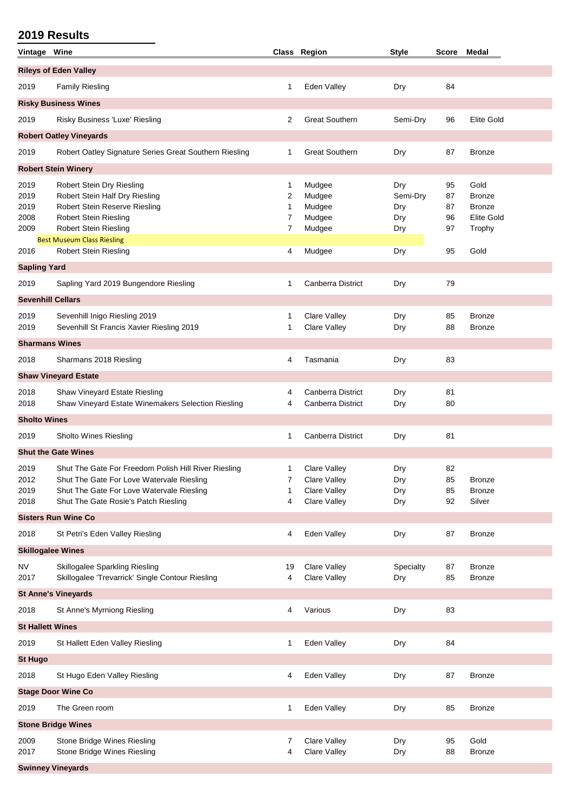| Vintage Wine             |                                                            |        | <b>Class Region</b>          | <b>Style</b> | <b>Score</b> | <b>Medal</b>            |
|--------------------------|------------------------------------------------------------|--------|------------------------------|--------------|--------------|-------------------------|
|                          | <b>Rileys of Eden Valley</b>                               |        |                              |              |              |                         |
| 2019                     | <b>Family Riesling</b>                                     | 1      | Eden Valley                  | Dry          | 84           |                         |
|                          | <b>Risky Business Wines</b>                                |        |                              |              |              |                         |
|                          |                                                            |        |                              |              |              |                         |
| 2019                     | Risky Business 'Luxe' Riesling                             | 2      | <b>Great Southern</b>        | Semi-Dry     | 96           | <b>Elite Gold</b>       |
|                          | <b>Robert Oatley Vineyards</b>                             |        |                              |              |              |                         |
| 2019                     | Robert Oatley Signature Series Great Southern Riesling     | 1      | <b>Great Southern</b>        | Dry          | 87           | <b>Bronze</b>           |
|                          | <b>Robert Stein Winery</b>                                 |        |                              |              |              |                         |
| 2019                     | Robert Stein Dry Riesling                                  | 1      | Mudgee                       | Dry          | 95           | Gold                    |
| 2019                     | Robert Stein Half Dry Riesling                             | 2      | Mudgee                       | Semi-Dry     | 87           | <b>Bronze</b>           |
| 2019                     | Robert Stein Reserve Riesling                              | 1      | Mudgee                       | Dry          | 87           | <b>Bronze</b>           |
| 2008                     | <b>Robert Stein Riesling</b>                               | 7      | Mudgee                       | Dry          | 96           | <b>Elite Gold</b>       |
| 2009                     | <b>Robert Stein Riesling</b>                               | 7      | Mudgee                       | Dry          | 97           | Trophy                  |
|                          | <b>Best Museum Class Riesling</b>                          |        |                              |              |              |                         |
| 2016                     | <b>Robert Stein Riesling</b>                               | 4      | Mudgee                       | Dry          | 95           | Gold                    |
| <b>Sapling Yard</b>      |                                                            |        |                              |              |              |                         |
| 2019                     | Sapling Yard 2019 Bungendore Riesling                      | 1      | <b>Canberra District</b>     | Dry          | 79           |                         |
| <b>Sevenhill Cellars</b> |                                                            |        |                              |              |              |                         |
| 2019                     | Sevenhill Inigo Riesling 2019                              | 1      | Clare Valley                 | Dry          | 85           | <b>Bronze</b>           |
| 2019                     | Sevenhill St Francis Xavier Riesling 2019                  | 1      | Clare Valley                 | Dry          | 88           | <b>Bronze</b>           |
|                          |                                                            |        |                              |              |              |                         |
| <b>Sharmans Wines</b>    |                                                            |        |                              |              |              |                         |
| 2018                     | Sharmans 2018 Riesling                                     | 4      | Tasmania                     | Dry          | 83           |                         |
|                          | <b>Shaw Vineyard Estate</b>                                |        |                              |              |              |                         |
| 2018                     | Shaw Vineyard Estate Riesling                              | 4      | <b>Canberra District</b>     | Dry          | 81           |                         |
| 2018                     | Shaw Vineyard Estate Winemakers Selection Riesling         | 4      | Canberra District            | Dry          | 80           |                         |
| <b>Sholto Wines</b>      |                                                            |        |                              |              |              |                         |
| 2019                     | Sholto Wines Riesling                                      | 1      | Canberra District            | Dry          | 81           |                         |
|                          | <b>Shut the Gate Wines</b>                                 |        |                              |              |              |                         |
|                          |                                                            |        |                              |              |              |                         |
| 2019                     | Shut The Gate For Freedom Polish Hill River Riesling       | 1      | <b>Clare Valley</b>          | Dry          | 82           |                         |
| 2012                     | Shut The Gate For Love Watervale Riesling                  |        | Clare Valley                 | Dry          | 85           | <b>Bronze</b>           |
| 2019                     | Shut The Gate For Love Watervale Riesling                  | 1      | Clare Valley<br>Clare Valley | Dry          | 85           | <b>Bronze</b><br>Silver |
| 2018                     | Shut The Gate Rosie's Patch Riesling                       | 4      |                              | Dry          | 92           |                         |
|                          | <b>Sisters Run Wine Co</b>                                 |        |                              |              |              |                         |
| 2018                     | St Petri's Eden Valley Riesling                            | 4      | Eden Valley                  | Dry          | 87           | <b>Bronze</b>           |
|                          | <b>Skillogalee Wines</b>                                   |        |                              |              |              |                         |
| NV                       | Skillogalee Sparkling Riesling                             | 19     | Clare Valley                 | Specialty    | 87           | <b>Bronze</b>           |
| 2017                     | Skillogalee 'Trevarrick' Single Contour Riesling           | 4      | Clare Valley                 | Dry          | 85           | <b>Bronze</b>           |
|                          | <b>St Anne's Vineyards</b>                                 |        |                              |              |              |                         |
|                          |                                                            |        |                              |              |              |                         |
| 2018                     | St Anne's Myrniong Riesling                                | 4      | Various                      | Dry          | 83           |                         |
| <b>St Hallett Wines</b>  |                                                            |        |                              |              |              |                         |
| 2019                     | St Hallett Eden Valley Riesling                            | 1      | Eden Valley                  | Dry          | 84           |                         |
| <b>St Hugo</b>           |                                                            |        |                              |              |              |                         |
| 2018                     | St Hugo Eden Valley Riesling                               | 4      | Eden Valley                  | Dry          | 87           | <b>Bronze</b>           |
|                          | <b>Stage Door Wine Co</b>                                  |        |                              |              |              |                         |
|                          |                                                            |        |                              |              |              |                         |
| 2019                     | The Green room                                             | 1      | Eden Valley                  | Dry          | 85           | <b>Bronze</b>           |
|                          |                                                            |        |                              |              |              |                         |
|                          | <b>Stone Bridge Wines</b>                                  |        |                              |              |              |                         |
| 2009<br>2017             | Stone Bridge Wines Riesling<br>Stone Bridge Wines Riesling | 7<br>4 | Clare Valley<br>Clare Valley | Dry<br>Dry   | 95<br>88     | Gold<br><b>Bronze</b>   |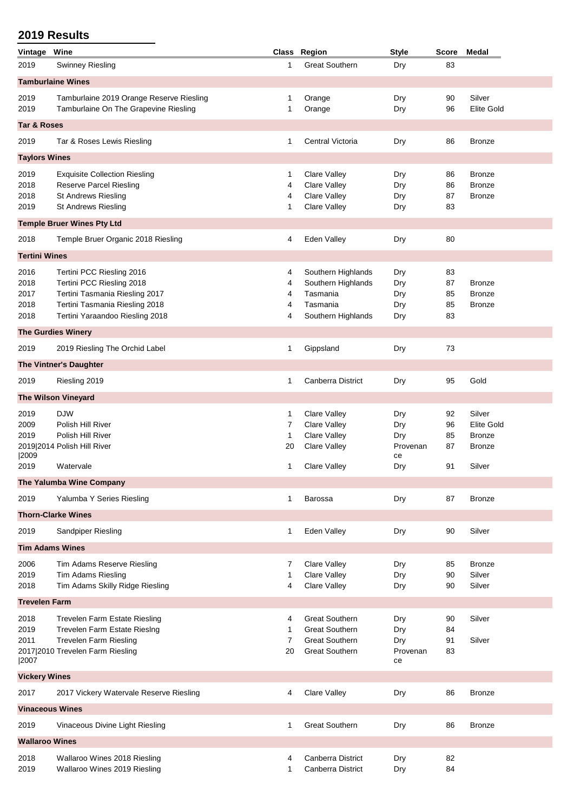| Vintage                | Wine                                     |                | Class Region             | <b>Style</b>   | <b>Score</b> | <b>Medal</b>      |
|------------------------|------------------------------------------|----------------|--------------------------|----------------|--------------|-------------------|
| 2019                   | Swinney Riesling                         | 1              | <b>Great Southern</b>    | Dry            | 83           |                   |
|                        | <b>Tamburlaine Wines</b>                 |                |                          |                |              |                   |
| 2019                   | Tamburlaine 2019 Orange Reserve Riesling | 1              | Orange                   | Dry            | 90           | Silver            |
| 2019                   | Tamburlaine On The Grapevine Riesling    | 1              | Orange                   | Dry            | 96           | <b>Elite Gold</b> |
| Tar & Roses            |                                          |                |                          |                |              |                   |
|                        |                                          |                |                          |                |              |                   |
| 2019                   | Tar & Roses Lewis Riesling               | 1              | Central Victoria         | Dry            | 86           | <b>Bronze</b>     |
| <b>Taylors Wines</b>   |                                          |                |                          |                |              |                   |
| 2019                   | <b>Exquisite Collection Riesling</b>     | 1              | Clare Valley             | Dry            | 86           | <b>Bronze</b>     |
| 2018                   | <b>Reserve Parcel Riesling</b>           | 4              | <b>Clare Valley</b>      | Dry            | 86           | <b>Bronze</b>     |
| 2018                   | St Andrews Riesling                      | 4              | Clare Valley             | Dry            | 87           | <b>Bronze</b>     |
| 2019                   | <b>St Andrews Riesling</b>               | 1              | <b>Clare Valley</b>      | Dry            | 83           |                   |
|                        | <b>Temple Bruer Wines Pty Ltd</b>        |                |                          |                |              |                   |
| 2018                   | Temple Bruer Organic 2018 Riesling       | 4              | Eden Valley              | Dry            | 80           |                   |
| <b>Tertini Wines</b>   |                                          |                |                          |                |              |                   |
| 2016                   | Tertini PCC Riesling 2016                | 4              | Southern Highlands       | Dry            | 83           |                   |
| 2018                   | Tertini PCC Riesling 2018                | 4              | Southern Highlands       | Dry            | 87           | <b>Bronze</b>     |
| 2017                   | Tertini Tasmania Riesling 2017           | 4              | Tasmania                 | Dry            | 85           | <b>Bronze</b>     |
| 2018                   | Tertini Tasmania Riesling 2018           | 4              | Tasmania                 | Dry            | 85           | <b>Bronze</b>     |
| 2018                   | Tertini Yaraandoo Riesling 2018          | 4              | Southern Highlands       | Dry            | 83           |                   |
|                        | The Gurdies Winery                       |                |                          |                |              |                   |
| 2019                   |                                          | 1              |                          |                | 73           |                   |
|                        | 2019 Riesling The Orchid Label           |                | Gippsland                | Dry            |              |                   |
|                        | The Vintner's Daughter                   |                |                          |                |              |                   |
| 2019                   | Riesling 2019                            | 1              | <b>Canberra District</b> | Dry            | 95           | Gold              |
|                        | The Wilson Vineyard                      |                |                          |                |              |                   |
| 2019                   | <b>DJW</b>                               | 1              | Clare Valley             | Dry            | 92           | Silver            |
| 2009                   | Polish Hill River                        | 7              | Clare Valley             | Dry            | 96           | <b>Elite Gold</b> |
| 2019                   | Polish Hill River                        | 1              | Clare Valley             | Dry            | 85           | <b>Bronze</b>     |
|                        | 2019 2014 Polish Hill River              | 20             | Clare Valley             | Provenan       | 87           | <b>Bronze</b>     |
| 2009                   |                                          |                |                          | ce             |              |                   |
| 2019                   | Watervale                                | 1              | Clare Valley             | Dry            | 91           | Silver            |
|                        | The Yalumba Wine Company                 |                |                          |                |              |                   |
| 2019                   | Yalumba Y Series Riesling                | 1              | <b>Barossa</b>           | Dry            | 87           | <b>Bronze</b>     |
|                        | <b>Thorn-Clarke Wines</b>                |                |                          |                |              |                   |
| 2019                   | Sandpiper Riesling                       | $\mathbf{1}$   | Eden Valley              | Dry            | 90           | Silver            |
| <b>Tim Adams Wines</b> |                                          |                |                          |                |              |                   |
| 2006                   | Tim Adams Reserve Riesling               | 7              | Clare Valley             | Dry            | 85           | <b>Bronze</b>     |
| 2019                   | Tim Adams Riesling                       | 1              | Clare Valley             | Dry            | 90           | Silver            |
| 2018                   | Tim Adams Skilly Ridge Riesling          | 4              | Clare Valley             | Dry            | 90           | Silver            |
| <b>Trevelen Farm</b>   |                                          |                |                          |                |              |                   |
|                        |                                          |                |                          |                |              |                   |
| 2018                   | Trevelen Farm Estate Riesling            | 4              | <b>Great Southern</b>    | Dry            | 90           | Silver            |
| 2019                   | Trevelen Farm Estate Riesing             | 1              | <b>Great Southern</b>    | Dry            | 84           |                   |
| 2011                   | <b>Trevelen Farm Riesling</b>            | $\overline{7}$ | <b>Great Southern</b>    | Dry            | 91           | Silver            |
| 2007                   | 2017 2010 Trevelen Farm Riesling         | 20             | <b>Great Southern</b>    | Provenan<br>ce | 83           |                   |
| <b>Vickery Wines</b>   |                                          |                |                          |                |              |                   |
| 2017                   | 2017 Vickery Watervale Reserve Riesling  | 4              | <b>Clare Valley</b>      | Dry            | 86           | <b>Bronze</b>     |
| <b>Vinaceous Wines</b> |                                          |                |                          |                |              |                   |
| 2019                   | Vinaceous Divine Light Riesling          | 1              | <b>Great Southern</b>    | Dry            | 86           | <b>Bronze</b>     |
|                        |                                          |                |                          |                |              |                   |
| <b>Wallaroo Wines</b>  |                                          |                |                          |                |              |                   |
| 2018                   | Wallaroo Wines 2018 Riesling             | 4              | Canberra District        | Dry            | 82           |                   |
| 2019                   | Wallaroo Wines 2019 Riesling             | 1              | Canberra District        | Dry            | 84           |                   |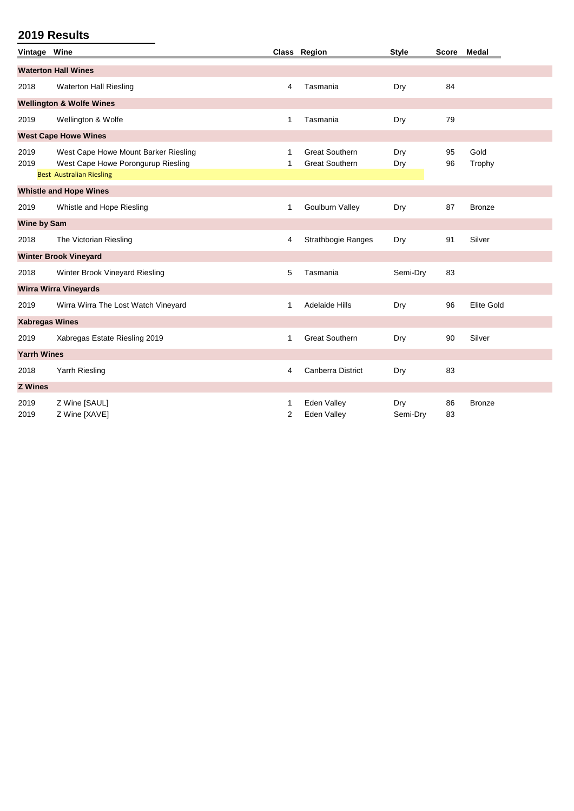| Vintage Wine          |                                                                                                               |        | Class Region                                   | <b>Style</b>    | Score Medal |                   |
|-----------------------|---------------------------------------------------------------------------------------------------------------|--------|------------------------------------------------|-----------------|-------------|-------------------|
|                       | <b>Waterton Hall Wines</b>                                                                                    |        |                                                |                 |             |                   |
| 2018                  | <b>Waterton Hall Riesling</b>                                                                                 | 4      | Tasmania                                       | Dry             | 84          |                   |
|                       | <b>Wellington &amp; Wolfe Wines</b>                                                                           |        |                                                |                 |             |                   |
| 2019                  | Wellington & Wolfe                                                                                            | 1      | Tasmania                                       | Dry             | 79          |                   |
|                       | <b>West Cape Howe Wines</b>                                                                                   |        |                                                |                 |             |                   |
| 2019<br>2019          | West Cape Howe Mount Barker Riesling<br>West Cape Howe Porongurup Riesling<br><b>Best Australian Riesling</b> | 1<br>1 | <b>Great Southern</b><br><b>Great Southern</b> | Dry<br>Dry      | 95<br>96    | Gold<br>Trophy    |
|                       | <b>Whistle and Hope Wines</b>                                                                                 |        |                                                |                 |             |                   |
| 2019                  | Whistle and Hope Riesling                                                                                     | 1      | Goulburn Valley                                | Dry             | 87          | <b>Bronze</b>     |
| Wine by Sam           |                                                                                                               |        |                                                |                 |             |                   |
| 2018                  | The Victorian Riesling                                                                                        | 4      | Strathbogie Ranges                             | Dry             | 91          | Silver            |
|                       | <b>Winter Brook Vineyard</b>                                                                                  |        |                                                |                 |             |                   |
| 2018                  | Winter Brook Vineyard Riesling                                                                                | 5      | Tasmania                                       | Semi-Dry        | 83          |                   |
|                       | <b>Wirra Wirra Vineyards</b>                                                                                  |        |                                                |                 |             |                   |
| 2019                  | Wirra Wirra The Lost Watch Vineyard                                                                           | 1      | <b>Adelaide Hills</b>                          | Dry             | 96          | <b>Elite Gold</b> |
| <b>Xabregas Wines</b> |                                                                                                               |        |                                                |                 |             |                   |
| 2019                  | Xabregas Estate Riesling 2019                                                                                 | 1      | <b>Great Southern</b>                          | Dry             | 90          | Silver            |
| <b>Yarrh Wines</b>    |                                                                                                               |        |                                                |                 |             |                   |
| 2018                  | Yarrh Riesling                                                                                                | 4      | <b>Canberra District</b>                       | Dry             | 83          |                   |
| <b>Z</b> Wines        |                                                                                                               |        |                                                |                 |             |                   |
| 2019<br>2019          | Z Wine [SAUL]<br>Z Wine [XAVE]                                                                                | 1<br>2 | Eden Valley<br>Eden Valley                     | Dry<br>Semi-Dry | 86<br>83    | <b>Bronze</b>     |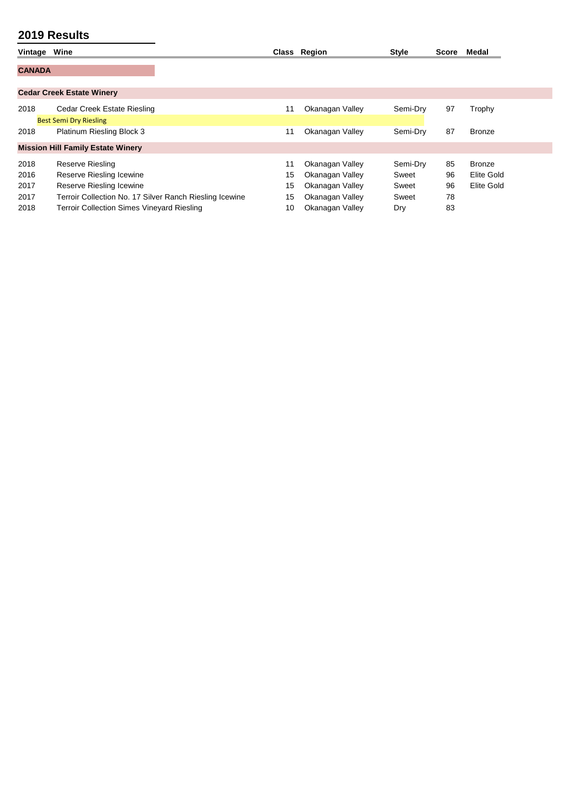| Vintage       | Wine                                                    |    | <b>Class Region</b> | <b>Style</b> | Score | Medal         |
|---------------|---------------------------------------------------------|----|---------------------|--------------|-------|---------------|
| <b>CANADA</b> |                                                         |    |                     |              |       |               |
|               |                                                         |    |                     |              |       |               |
|               | <b>Cedar Creek Estate Winery</b>                        |    |                     |              |       |               |
| 2018          | Cedar Creek Estate Riesling                             | 11 | Okanagan Valley     | Semi-Dry     | 97    | Trophy        |
|               | <b>Best Semi Dry Riesling</b>                           |    |                     |              |       |               |
| 2018          | Platinum Riesling Block 3                               | 11 | Okanagan Valley     | Semi-Dry     | 87    | <b>Bronze</b> |
|               | <b>Mission Hill Family Estate Winery</b>                |    |                     |              |       |               |
| 2018          | Reserve Riesling                                        | 11 | Okanagan Valley     | Semi-Dry     | 85    | <b>Bronze</b> |
| 2016          | Reserve Riesling Icewine                                | 15 | Okanagan Valley     | Sweet        | 96    | Elite Gold    |
| 2017          | Reserve Riesling Icewine                                | 15 | Okanagan Valley     | Sweet        | 96    | Elite Gold    |
| 2017          | Terroir Collection No. 17 Silver Ranch Riesling Icewine | 15 | Okanagan Valley     | Sweet        | 78    |               |
| 2018          | <b>Terroir Collection Simes Vineyard Riesling</b>       | 10 | Okanagan Valley     | Dry          | 83    |               |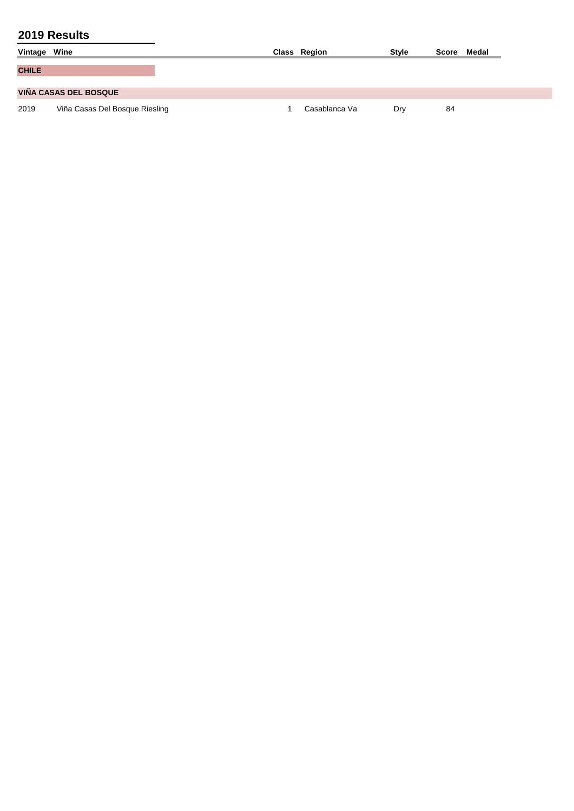| Vintage Wine |                                | Class Region  | <b>Style</b> | Score | Medal |
|--------------|--------------------------------|---------------|--------------|-------|-------|
| <b>CHILE</b> |                                |               |              |       |       |
|              | <b>VIÑA CASAS DEL BOSQUE</b>   |               |              |       |       |
| 2019         | Viña Casas Del Bosque Riesling | Casablanca Va | Dry          | 84    |       |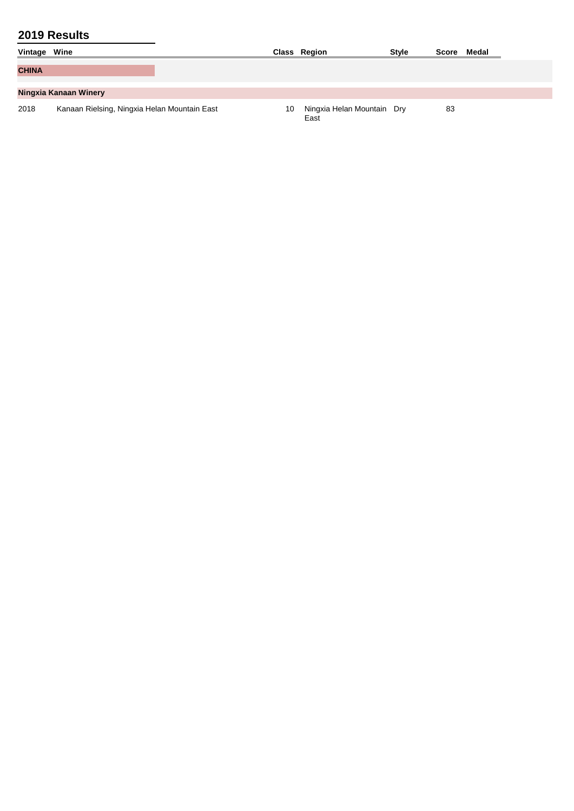| Vintage      | Wine                                         |    | Class Region                       | <b>Style</b> | Score | Medal |
|--------------|----------------------------------------------|----|------------------------------------|--------------|-------|-------|
| <b>CHINA</b> |                                              |    |                                    |              |       |       |
|              | Ningxia Kanaan Winery                        |    |                                    |              |       |       |
| 2018         | Kanaan Rielsing, Ningxia Helan Mountain East | 10 | Ningxia Helan Mountain Dry<br>East |              | 83    |       |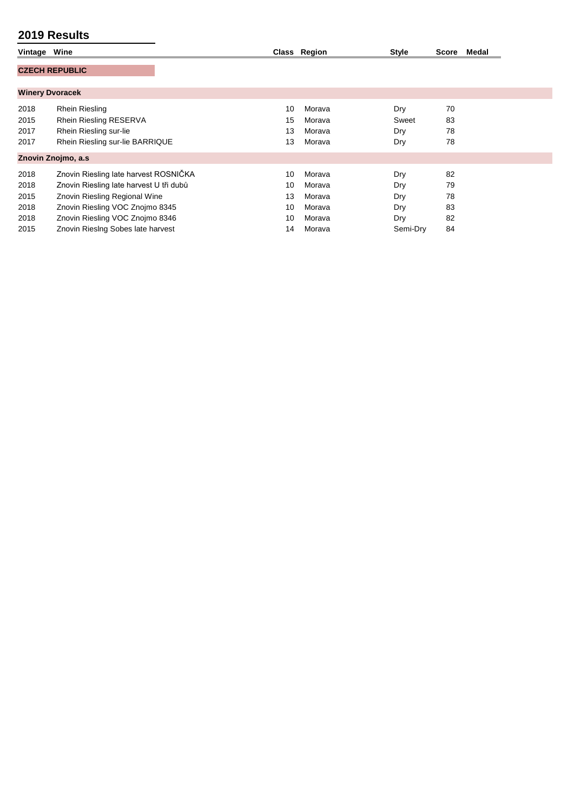| Vintage Wine |                                         |    | Class Region | <b>Style</b> | Score Medal |  |
|--------------|-----------------------------------------|----|--------------|--------------|-------------|--|
|              | <b>CZECH REPUBLIC</b>                   |    |              |              |             |  |
|              | <b>Winery Dvoracek</b>                  |    |              |              |             |  |
| 2018         | <b>Rhein Riesling</b>                   | 10 | Morava       | Dry          | 70          |  |
| 2015         | Rhein Riesling RESERVA                  | 15 | Morava       | Sweet        | 83          |  |
| 2017         | Rhein Riesling sur-lie                  | 13 | Morava       | Dry          | 78          |  |
| 2017         | Rhein Riesling sur-lie BARRIQUE         | 13 | Morava       | Dry          | 78          |  |
|              | Znovin Znojmo, a.s.                     |    |              |              |             |  |
| 2018         | Znovin Riesling late harvest ROSNIČKA   | 10 | Morava       | Dry          | 82          |  |
| 2018         | Znovin Riesling late harvest U tři dubů | 10 | Morava       | Dry          | 79          |  |
| 2015         | Znovin Riesling Regional Wine           | 13 | Morava       | Dry          | 78          |  |
| 2018         | Znovin Riesling VOC Znojmo 8345         | 10 | Morava       | Dry          | 83          |  |
| 2018         | Znovin Riesling VOC Znojmo 8346         | 10 | Morava       | Dry          | 82          |  |
| 2015         | Znovin Riesing Sobes late harvest       | 14 | Morava       | Semi-Dry     | 84          |  |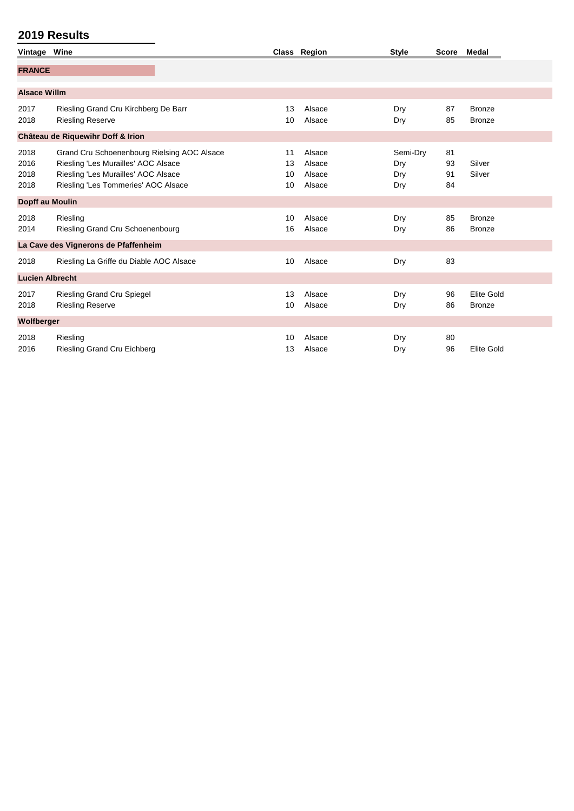| Vintage Wine                 |                                                                                                                                                                  |                      | Class Region                         | <b>Style</b>                  | <b>Score</b>         | Medal                              |
|------------------------------|------------------------------------------------------------------------------------------------------------------------------------------------------------------|----------------------|--------------------------------------|-------------------------------|----------------------|------------------------------------|
|                              |                                                                                                                                                                  |                      |                                      |                               |                      |                                    |
| <b>FRANCE</b>                |                                                                                                                                                                  |                      |                                      |                               |                      |                                    |
| <b>Alsace Willm</b>          |                                                                                                                                                                  |                      |                                      |                               |                      |                                    |
| 2017<br>2018                 | Riesling Grand Cru Kirchberg De Barr<br><b>Riesling Reserve</b>                                                                                                  | 13<br>10             | Alsace<br>Alsace                     | Dry<br>Dry                    | 87<br>85             | <b>Bronze</b><br><b>Bronze</b>     |
|                              | Château de Riquewihr Doff & Irion                                                                                                                                |                      |                                      |                               |                      |                                    |
| 2018<br>2016<br>2018<br>2018 | Grand Cru Schoenenbourg Rielsing AOC Alsace<br>Riesling 'Les Murailles' AOC Alsace<br>Riesling 'Les Murailles' AOC Alsace<br>Riesling 'Les Tommeries' AOC Alsace | 11<br>13<br>10<br>10 | Alsace<br>Alsace<br>Alsace<br>Alsace | Semi-Dry<br>Dry<br>Dry<br>Dry | 81<br>93<br>91<br>84 | Silver<br>Silver                   |
| Dopff au Moulin              |                                                                                                                                                                  |                      |                                      |                               |                      |                                    |
| 2018<br>2014                 | Riesling<br>Riesling Grand Cru Schoenenbourg                                                                                                                     | 10<br>16             | Alsace<br>Alsace                     | Dry<br>Dry                    | 85<br>86             | <b>Bronze</b><br><b>Bronze</b>     |
|                              | La Cave des Vignerons de Pfaffenheim                                                                                                                             |                      |                                      |                               |                      |                                    |
| 2018                         | Riesling La Griffe du Diable AOC Alsace                                                                                                                          | 10                   | Alsace                               | Dry                           | 83                   |                                    |
| <b>Lucien Albrecht</b>       |                                                                                                                                                                  |                      |                                      |                               |                      |                                    |
| 2017<br>2018                 | <b>Riesling Grand Cru Spiegel</b><br><b>Riesling Reserve</b>                                                                                                     | 13<br>10             | Alsace<br>Alsace                     | Dry<br>Dry                    | 96<br>86             | <b>Elite Gold</b><br><b>Bronze</b> |
| Wolfberger                   |                                                                                                                                                                  |                      |                                      |                               |                      |                                    |
| 2018<br>2016                 | Riesling<br>Riesling Grand Cru Eichberg                                                                                                                          | 10<br>13             | Alsace<br>Alsace                     | Dry<br>Dry                    | 80<br>96             | <b>Elite Gold</b>                  |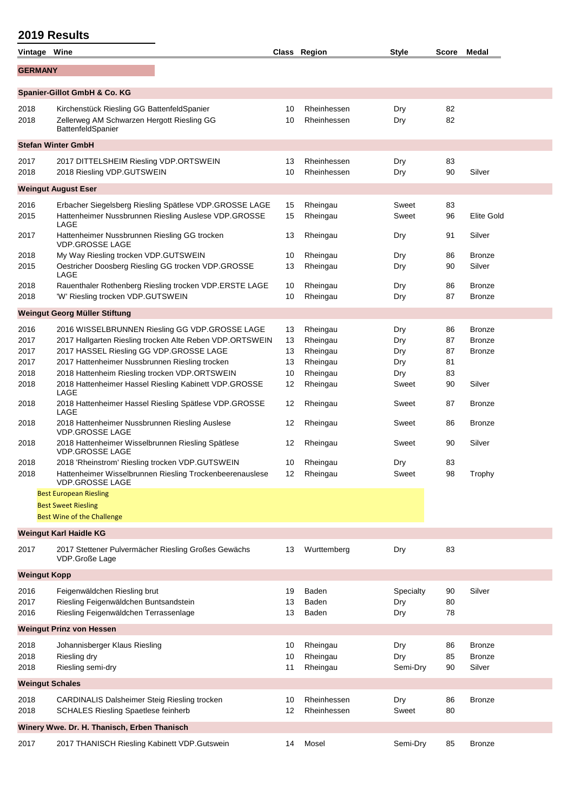| Vintage Wine        |                                                                                                   |          | Class Region               | <b>Style</b> | Score Medal |                   |
|---------------------|---------------------------------------------------------------------------------------------------|----------|----------------------------|--------------|-------------|-------------------|
| <b>GERMANY</b>      |                                                                                                   |          |                            |              |             |                   |
|                     | Spanier-Gillot GmbH & Co. KG                                                                      |          |                            |              |             |                   |
| 2018                | Kirchenstück Riesling GG BattenfeldSpanier                                                        | 10       | Rheinhessen                | Dry          | 82          |                   |
| 2018                | Zellerweg AM Schwarzen Hergott Riesling GG<br>BattenfeldSpanier                                   | 10       | Rheinhessen                | Dry          | 82          |                   |
|                     | <b>Stefan Winter GmbH</b>                                                                         |          |                            |              |             |                   |
| 2017                | 2017 DITTELSHEIM Riesling VDP.ORTSWEIN                                                            | 13       | Rheinhessen                | Dry          | 83          |                   |
| 2018                | 2018 Riesling VDP.GUTSWEIN                                                                        | 10       | Rheinhessen                | Dry          | 90          | Silver            |
|                     | <b>Weingut August Eser</b>                                                                        |          |                            |              |             |                   |
| 2016                | Erbacher Siegelsberg Riesling Spätlese VDP.GROSSE LAGE                                            | 15       | Rheingau                   | Sweet        | 83          |                   |
| 2015                | Hattenheimer Nussbrunnen Riesling Auslese VDP.GROSSE<br>LAGE                                      | 15       | Rheingau                   | Sweet        | 96          | <b>Elite Gold</b> |
| 2017                | Hattenheimer Nussbrunnen Riesling GG trocken<br><b>VDP.GROSSE LAGE</b>                            | 13       | Rheingau                   | Dry          | 91          | Silver            |
| 2018                | My Way Riesling trocken VDP.GUTSWEIN                                                              | 10       | Rheingau                   | Dry          | 86          | <b>Bronze</b>     |
| 2015                | Oestricher Doosberg Riesling GG trocken VDP.GROSSE<br>LAGE                                        | 13       | Rheingau                   | Dry          | 90          | Silver            |
| 2018                | Rauenthaler Rothenberg Riesling trocken VDP.ERSTE LAGE                                            | 10       | Rheingau                   | Dry          | 86          | <b>Bronze</b>     |
| 2018                | 'W' Riesling trocken VDP.GUTSWEIN                                                                 | 10       | Rheingau                   | Dry          | 87          | <b>Bronze</b>     |
|                     | Weingut Georg Müller Stiftung                                                                     |          |                            |              |             |                   |
| 2016                | 2016 WISSELBRUNNEN Riesling GG VDP.GROSSE LAGE                                                    | 13       | Rheingau                   | Dry          | 86          | <b>Bronze</b>     |
| 2017                | 2017 Hallgarten Riesling trocken Alte Reben VDP.ORTSWEIN                                          | 13       | Rheingau                   | Dry          | 87          | <b>Bronze</b>     |
| 2017                | 2017 HASSEL Riesling GG VDP.GROSSE LAGE                                                           | 13       | Rheingau                   | Dry          | 87          | <b>Bronze</b>     |
| 2017                | 2017 Hattenheimer Nussbrunnen Riesling trocken                                                    | 13       | Rheingau                   | Dry          | 81          |                   |
| 2018                | 2018 Hattenheim Riesling trocken VDP.ORTSWEIN                                                     | 10       | Rheingau                   | Dry          | 83          |                   |
| 2018                | 2018 Hattenheimer Hassel Riesling Kabinett VDP.GROSSE<br>LAGE                                     | 12       | Rheingau                   | Sweet        | 90          | Silver            |
| 2018                | 2018 Hattenheimer Hassel Riesling Spätlese VDP.GROSSE<br>LAGE                                     | 12       | Rheingau                   | Sweet        | 87          | <b>Bronze</b>     |
| 2018                | 2018 Hattenheimer Nussbrunnen Riesling Auslese<br><b>VDP.GROSSE LAGE</b>                          | 12       | Rheingau                   | Sweet        | 86          | <b>Bronze</b>     |
| 2018                | 2018 Hattenheimer Wisselbrunnen Riesling Spätlese<br><b>VDP.GROSSE LAGE</b>                       | 12       | Rheingau                   | Sweet        | 90          | Silver            |
| 2018                | 2018 'Rheinstrom' Riesling trocken VDP.GUTSWEIN                                                   | 10       | Rheingau                   | Dry          | 83          |                   |
| 2018                | Hattenheimer Wisselbrunnen Riesling Trockenbeerenauslese<br><b>VDP.GROSSE LAGE</b>                | 12       | Rheingau                   | Sweet        | 98          | Trophy            |
|                     | <b>Best European Riesling</b>                                                                     |          |                            |              |             |                   |
|                     | <b>Best Sweet Riesling</b>                                                                        |          |                            |              |             |                   |
|                     | Best Wine of the Challenge                                                                        |          |                            |              |             |                   |
|                     | <b>Weingut Karl Haidle KG</b>                                                                     |          |                            |              |             |                   |
| 2017                | 2017 Stettener Pulvermächer Riesling Großes Gewächs<br>VDP.Große Lage                             | 13       | Wurttemberg                | Dry          | 83          |                   |
| <b>Weingut Kopp</b> |                                                                                                   |          |                            |              |             |                   |
| 2016                | Feigenwäldchen Riesling brut                                                                      | 19       | Baden                      | Specialty    | 90          | Silver            |
| 2017                | Riesling Feigenwäldchen Buntsandstein                                                             | 13       | Baden                      | Dry          | 80          |                   |
| 2016                | Riesling Feigenwäldchen Terrassenlage                                                             | 13       | Baden                      | Dry          | 78          |                   |
|                     | <b>Weingut Prinz von Hessen</b>                                                                   |          |                            |              |             |                   |
|                     |                                                                                                   |          |                            |              | 86          | <b>Bronze</b>     |
| 2018<br>2018        | Johannisberger Klaus Riesling<br>Riesling dry                                                     | 10<br>10 | Rheingau<br>Rheingau       | Dry<br>Dry   | 85          | <b>Bronze</b>     |
| 2018                | Riesling semi-dry                                                                                 | 11       | Rheingau                   | Semi-Dry     | 90          | Silver            |
|                     | <b>Weingut Schales</b>                                                                            |          |                            |              |             |                   |
|                     |                                                                                                   |          |                            |              |             |                   |
| 2018<br>2018        | <b>CARDINALIS Dalsheimer Steig Riesling trocken</b><br><b>SCHALES Riesling Spaetlese feinherb</b> | 10<br>12 | Rheinhessen<br>Rheinhessen | Dry<br>Sweet | 86<br>80    | <b>Bronze</b>     |
|                     | Winery Wwe. Dr. H. Thanisch, Erben Thanisch                                                       |          |                            |              |             |                   |
| 2017                | 2017 THANISCH Riesling Kabinett VDP.Gutswein                                                      | 14       | Mosel                      | Semi-Dry     | 85          | <b>Bronze</b>     |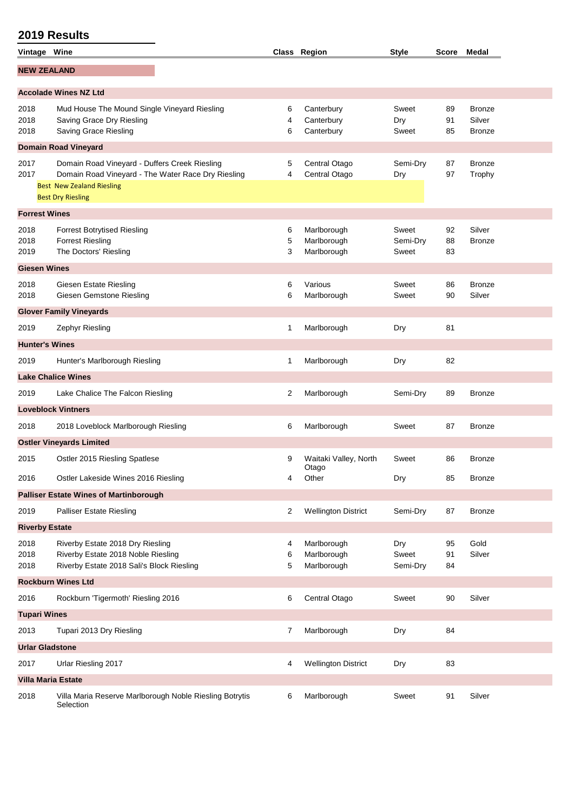| Vintage Wine           |                                                                                                                                                                     |             | Class Region                              | <b>Style</b>               |                | Score Medal                              |
|------------------------|---------------------------------------------------------------------------------------------------------------------------------------------------------------------|-------------|-------------------------------------------|----------------------------|----------------|------------------------------------------|
| <b>NEW ZEALAND</b>     |                                                                                                                                                                     |             |                                           |                            |                |                                          |
|                        | <b>Accolade Wines NZ Ltd</b>                                                                                                                                        |             |                                           |                            |                |                                          |
| 2018<br>2018<br>2018   | Mud House The Mound Single Vineyard Riesling<br>Saving Grace Dry Riesling<br>Saving Grace Riesling                                                                  | 6<br>4<br>6 | Canterbury<br>Canterbury<br>Canterbury    | Sweet<br>Dry<br>Sweet      | 89<br>91<br>85 | <b>Bronze</b><br>Silver<br><b>Bronze</b> |
|                        | <b>Domain Road Vineyard</b>                                                                                                                                         |             |                                           |                            |                |                                          |
| 2017<br>2017           | Domain Road Vineyard - Duffers Creek Riesling<br>Domain Road Vineyard - The Water Race Dry Riesling<br><b>Best New Zealand Riesling</b><br><b>Best Dry Riesling</b> | 5<br>4      | Central Otago<br>Central Otago            | Semi-Dry<br>Dry            | 87<br>97       | <b>Bronze</b><br>Trophy                  |
| <b>Forrest Wines</b>   |                                                                                                                                                                     |             |                                           |                            |                |                                          |
| 2018<br>2018<br>2019   | <b>Forrest Botrytised Riesling</b><br><b>Forrest Riesling</b><br>The Doctors' Riesling                                                                              | 6<br>5<br>3 | Marlborough<br>Marlborough<br>Marlborough | Sweet<br>Semi-Dry<br>Sweet | 92<br>88<br>83 | Silver<br><b>Bronze</b>                  |
| <b>Giesen Wines</b>    |                                                                                                                                                                     |             |                                           |                            |                |                                          |
| 2018<br>2018           | Giesen Estate Riesling<br>Giesen Gemstone Riesling                                                                                                                  | 6<br>6      | Various<br>Marlborough                    | Sweet<br>Sweet             | 86<br>90       | <b>Bronze</b><br>Silver                  |
|                        | <b>Glover Family Vineyards</b>                                                                                                                                      |             |                                           |                            |                |                                          |
| 2019                   | Zephyr Riesling                                                                                                                                                     | 1           | Marlborough                               | Dry                        | 81             |                                          |
| <b>Hunter's Wines</b>  |                                                                                                                                                                     |             |                                           |                            |                |                                          |
| 2019                   | Hunter's Marlborough Riesling                                                                                                                                       | 1           | Marlborough                               | Dry                        | 82             |                                          |
|                        | <b>Lake Chalice Wines</b>                                                                                                                                           |             |                                           |                            |                |                                          |
| 2019                   | Lake Chalice The Falcon Riesling                                                                                                                                    | 2           | Marlborough                               | Semi-Dry                   | 89             | <b>Bronze</b>                            |
|                        | <b>Loveblock Vintners</b>                                                                                                                                           |             |                                           |                            |                |                                          |
| 2018                   | 2018 Loveblock Marlborough Riesling                                                                                                                                 | 6           | Marlborough                               | Sweet                      | 87             | <b>Bronze</b>                            |
|                        | <b>Ostler Vineyards Limited</b>                                                                                                                                     |             |                                           |                            |                |                                          |
| 2015                   | Ostler 2015 Riesling Spatlese                                                                                                                                       | 9           | Waitaki Valley, North<br>Otago            | Sweet                      | 86             | <b>Bronze</b>                            |
| 2016                   | Ostler Lakeside Wines 2016 Riesling                                                                                                                                 | 4           | Other                                     | Dry                        | 85             | <b>Bronze</b>                            |
|                        | <b>Palliser Estate Wines of Martinborough</b>                                                                                                                       |             |                                           |                            |                |                                          |
| 2019                   | Palliser Estate Riesling                                                                                                                                            | 2           | <b>Wellington District</b>                | Semi-Dry                   | 87             | <b>Bronze</b>                            |
| <b>Riverby Estate</b>  |                                                                                                                                                                     |             |                                           |                            |                |                                          |
| 2018<br>2018<br>2018   | Riverby Estate 2018 Dry Riesling<br>Riverby Estate 2018 Noble Riesling<br>Riverby Estate 2018 Sali's Block Riesling                                                 | 4<br>6<br>5 | Marlborough<br>Marlborough<br>Marlborough | Dry<br>Sweet<br>Semi-Dry   | 95<br>91<br>84 | Gold<br>Silver                           |
|                        | <b>Rockburn Wines Ltd</b>                                                                                                                                           |             |                                           |                            |                |                                          |
| 2016                   | Rockburn 'Tigermoth' Riesling 2016                                                                                                                                  | 6           | Central Otago                             | Sweet                      | 90             | Silver                                   |
| <b>Tupari Wines</b>    |                                                                                                                                                                     |             |                                           |                            |                |                                          |
| 2013                   | Tupari 2013 Dry Riesling                                                                                                                                            | 7           | Marlborough                               | Dry                        | 84             |                                          |
| <b>Urlar Gladstone</b> |                                                                                                                                                                     |             |                                           |                            |                |                                          |
| 2017                   | Urlar Riesling 2017                                                                                                                                                 | 4           | <b>Wellington District</b>                | Dry                        | 83             |                                          |
|                        | <b>Villa Maria Estate</b>                                                                                                                                           |             |                                           |                            |                |                                          |
| 2018                   | Villa Maria Reserve Marlborough Noble Riesling Botrytis<br>Selection                                                                                                | 6           | Marlborough                               | Sweet                      | 91             | Silver                                   |